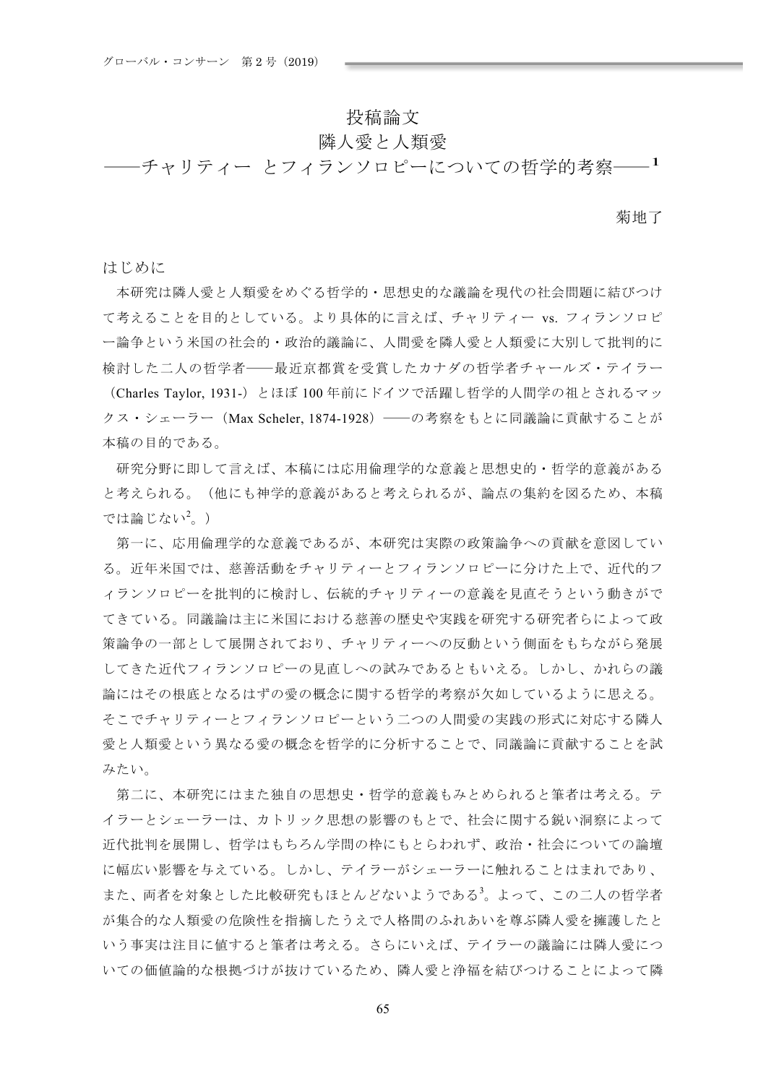## 投稿論文

# 隣人愛と人類愛

-チャリティー とフィランソロピーについての哲学的考察――<sup>1</sup>

菊地了

はじめに

本研究は隣人愛と人類愛をめぐろ哲学的·思想史的な議論を現代の社会問題に結びつけ て考えることを目的としている。より具体的に言えば、チャリティー vs. フィランソロピ 一論争という米国の社会的・政治的議論に、人間愛を隣人愛と人類愛に大別して批判的に 検討した二人の哲学者――最近京都賞を受賞したカナダの哲学者チャールズ・テイラー

(Charles Taylor, 1931-) とほぼ 100 年前にドイツで活躍し哲学的人間学の祖とされるマッ クス・シェーラー (Max Scheler, 1874-1928) ––の考察をもとに同議論に貢献することが 本稿の目的である。

研究分野に即して言えば、本稿には応用倫理学的な意義と思想史的·哲学的意義がある と考えられる。(他にも神学的意義があると考えられるが、論点の集約を図るため、本稿 では論じない $^2$ 。)

第一に、応用倫理学的な意義であるが、本研究は実際の政策論争への貢献を意図してい る。近年米国では、慈善活動をチャリティーとフィランソロピーに分けた上で、近代的フ ィランソロピーを批判的に検討し、伝統的チャリティーの意義を見直そうという動きがで てきている。同議論は主に米国における慈善の歴史や実践を研究する研究者らによって政 策論争の一部として展開されており、チャリティーへの反動という側面をもちながら発展 してきた近代フィランソロピーの見直しへの試みであるともいえる。しかし、かれらの議 論にはその根底となるはずの愛の概念に関する哲学的考察が欠如しているように思える。 そこでチャリティーとフィランソロピーという二つの人間愛の実践の形式に対応する隣人 愛と人類愛という異なる愛の概念を哲学的に分析することで、同議論に貢献することを試 みたい。

第二に、本研究にはまた独自の思想史・哲学的意義もみとめられると筆者は考える。テ イラーとシェーラーは、カトリック思想の影響のもとで、社会に関する鋭い洞察によって 近代批判を展開し、哲学はもちろん学問の枠にもとらわれず、政治・社会についての論壇 に幅広い影響を与えている。しかし、テイラーがシェーラーに触れることはまれであり、 また、両者を対象とした比較研究もほとんどないようである<sup>3</sup>。よって、この二人の哲学者 が集合的な人類愛の危険性を指摘したうえで人格間のふれあいを尊ぶ隣人愛を擁護したと いう事実は注目に値すると筆者は考える。さらにいえば、テイラーの議論には隣人愛につ いての価値論的な根拠づけが抜けているため、隣人愛と浄福を結びつけることによって隣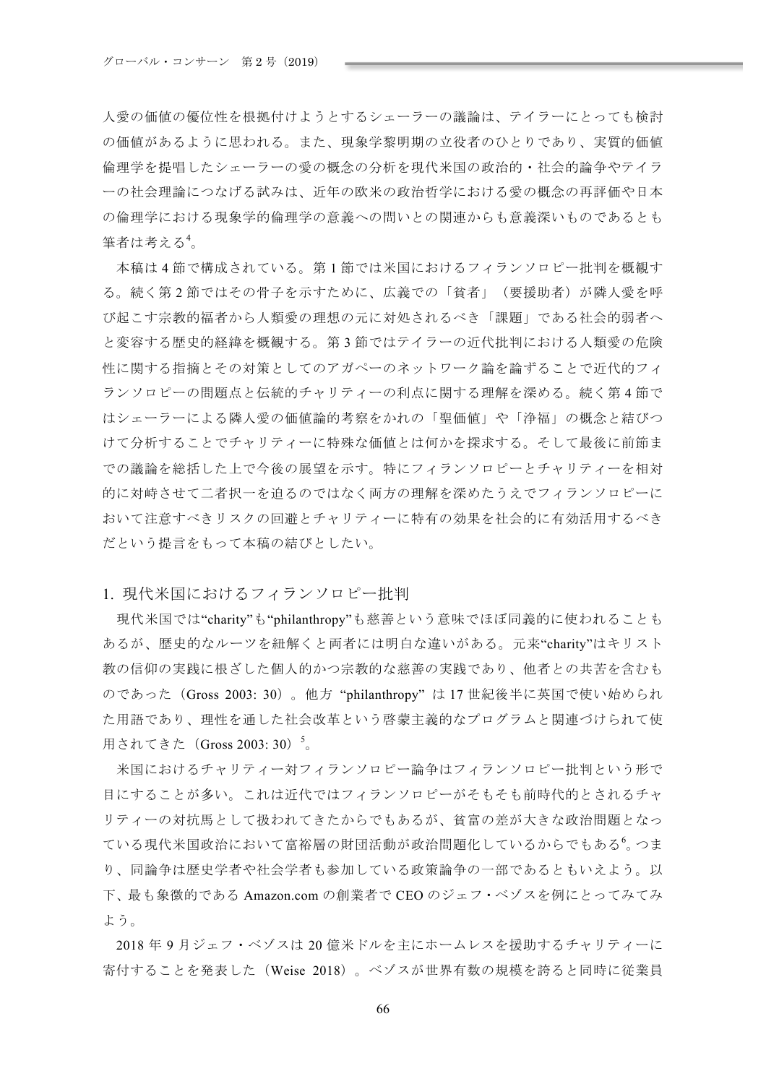人愛の価値の優位性を根拠付けようとするシェーラーの議論は、テイラーにとっても検討 の価値があるように思われる。また、現象学黎明期の立役者のひとりであり、実質的価値 倫理学を提唱したシェーラーの愛の概念の分析を現代米国の政治的·社会的論争やテイラ 一の社会理論につなげる試みは、近年の欧米の政治哲学における愛の概念の再評価や日本 の倫理学における現象学的倫理学の意義への問いとの関連からも意義深いものであるとも 筆者は考える<sup>4</sup>。

本稿は4節で構成されている。第1節では米国におけるフィランソロピー批判を概観す る。続く第2節ではその骨子を示すために、広義での「貧者」(要援助者)が隣人愛を呼 び起こす宗教的福者から人類愛の理想の元に対処されるべき「課題」である社会的弱者へ と変容する歴史的経緯を概観する。第3節ではテイラーの近代批判における人類愛の危険 性に関する指摘とその対策としてのアガペーのネットワーク論を論ずることで近代的フィ ランソロピーの問題点と伝統的チャリティーの利点に関する理解を深める。続く第4節で はシェーラーによる隣人愛の価値論的考察をかれの「聖価値」や「浄福」の概念と結びつ けて分析することでチャリティーに特殊な価値とは何かを探求する。そして最後に前節ま での議論を総括した上で今後の展望を示す。特にフィランソロピーとチャリティーを相対 的に対峙させて二者択一を迫るのではなく両方の理解を深めたうえでフィランソロピーに おいて注意すべきリスクの回避とチャリティーに特有の効果を社会的に有効活用するべき だという提言をもって本稿の結びとしたい。

1. 現代米国におけるフィランソロピー批判

現代米国では"charity"も"philanthropy"も慈善という意味でほぼ同義的に使われることも あるが、歴史的なルーツを紐解くと両者には明白な違いがある。元来"charity"はキリスト 教の信仰の実践に根ざした個人的かつ宗教的な慈善の実践であり、他者との共苦を含むも のであった (Gross 2003: 30)。他方 "philanthropy" は 17 世紀後半に英国で使い始められ た用語であり、理性を通した社会改革という啓蒙主義的なプログラムと関連づけられて使 用されてきた (Gross 2003: 30) 5。

米国におけるチャリティー対フィランソロピー論争はフィランソロピー批判という形で 目にすることが多い。これは近代ではフィランソロピーがそもそも前時代的とされるチャ リティーの対抗馬として扱われてきたからでもあるが、貧富の差が大きな政治問題となっ ている現代米国政治において富裕層の財団活動が政治問題化しているからでもある $^6$ 。つま り、同論争は歴史学者や社会学者も参加している政策論争の一部であるともいえよう。以 下、最も象徴的である Amazon.com の創業者で CEO のジェフ・ベゾスを例にとってみてみ よう。

2018年9月ジェフ・ベゾスは20億米ドルを主にホームレスを援助するチャリティーに 寄付することを発表した (Weise 2018) 。ベゾスが世界有数の規模を誇ると同時に従業員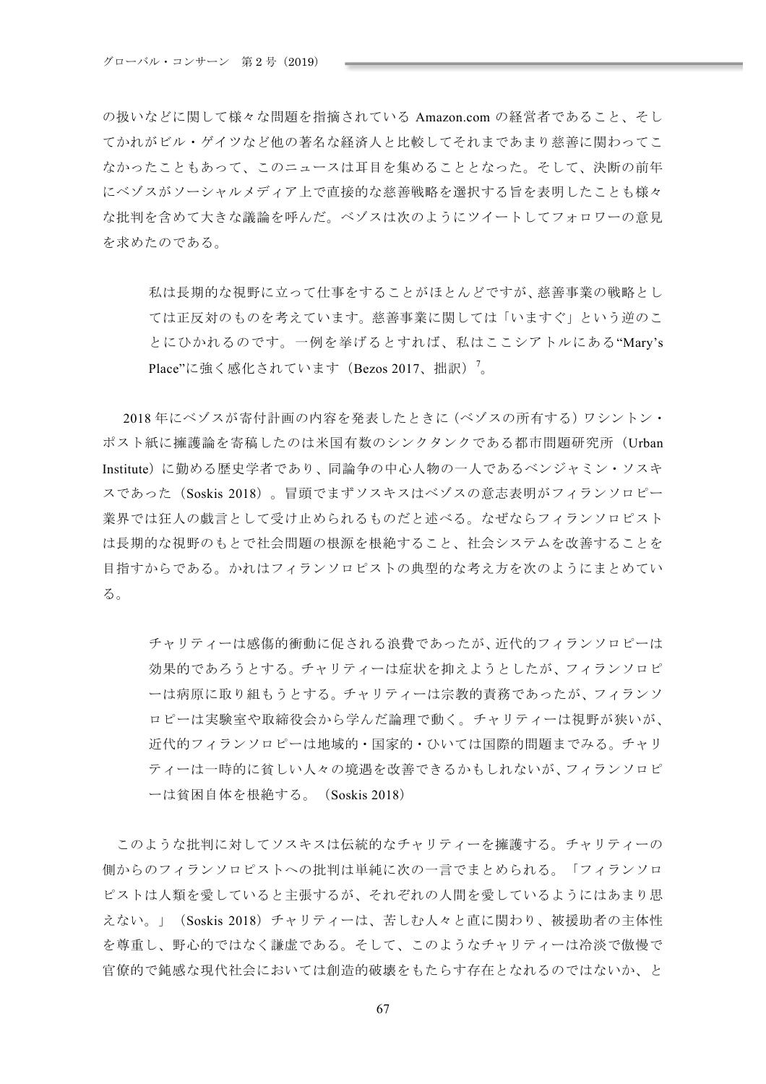の扱いなどに関して様々な問題を指摘されている Amazon.com の経営者であること、そし てかれがビル・ゲイツなど他の著名な経済人と比較してそれまであまり慈善に関わってこ なかったこともあって、このニュースは耳目を集めることとなった。そして、決断の前年 にベゾスがソーシャルメディア上で直接的な慈善戦略を選択する旨を表明したことも様々 な批判を含めて大きな議論を呼んだ。ベゾスは次のようにツイートしてフォロワーの意見 を求めたのである。

私は長期的な視野に立って仕事をすることがほとんどですが、慈善事業の戦略とし ては正反対のものを考えています。慈善事業に関しては「いますぐ」という逆のこ とにひかれるのです。一例を挙げるとすれば、私はここシアトルにある"Mary's Place"に強く感化されています(Bezos 2017、拙訳)<sup>7</sup>。

2018年にベゾスが寄付計画の内容を発表したときに(ベゾスの所有する)ワシントン· ポスト紙に擁護論を寄稿したのは米国有数のシンクタンクである都市問題研究所 (Urban Institute) に勤める歴史学者であり、同論争の中心人物の一人であるベンジャミン・ソスキ スであった (Soskis 2018)。冒頭でまずソスキスはベゾスの意志表明がフィランソロピー 業界では狂人の戯言として受け止められるものだと述べる。なぜならフィランソロピスト は長期的な視野のもとで社会問題の根源を根絶すること、社会システムを改善することを 目指すからである。かれはフィランソロピストの典型的な考え方を次のようにまとめてい る。

チャリティーは感傷的衝動に促される浪費であったが、近代的フィランソロピーは 効果的であろうとする。チャリティーは症状を抑えようとしたが、フィランソロピ ーは病原に取り組もうとする。チャリティーは宗教的責務であったが、フィランソ ロピーは実験室や取締役会から学んだ論理で動く。チャリティーは視野が狭いが、 近代的フィランソロピーは地域的・国家的・ひいては国際的問題までみる。チャリ ティーは一時的に貧しい人々の境遇を改善できるかもしれないが、フィランソロピ ーは貧困自体を根絶する。 (Soskis 2018)

このような批判に対してソスキスは伝統的なチャリティーを擁護する。チャリティーの 側からのフィランソロピストへの批判は単純に次の一言でまとめられる。「フィランソロ ピストは人類を愛していると主張するが、それぞれの人間を愛しているようにはあまり思 えない。」 (Soskis 2018) チャリティーは、苦しむ人々と直に関わり、被援助者の主体性 を尊重し、野心的ではなく謙虚である。そして、このようなチャリティーは冷淡で傲慢で 官僚的で鈍感な現代社会においては創造的破壊をもたらす存在となれるのではないか、と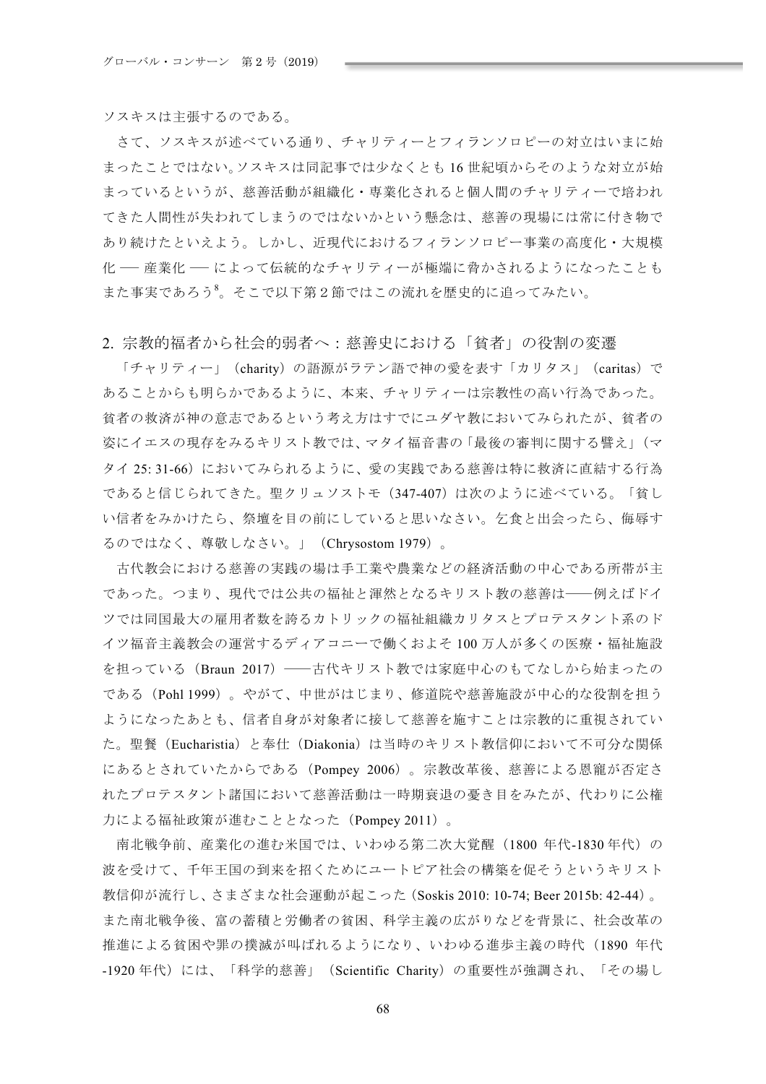ソスキスは主張するのである。

さて、ソスキスが述べている通り、チャリティーとフィランソロピーの対立はいまに始 まったことではない。ソスキスは同記事では少なくとも16世紀頃からそのような対立が始 まっているというが、慈善活動が組織化・専業化されると個人間のチャリティーで培われ てきた人間性が失われてしまうのではないかという懸念は、慈善の現場には常に付き物で あり続けたといえよう。しかし、近現代におけるフィランソロピー事業の高度化・大規模 化 ─ 産業化 ─ によって伝統的なチャリティーが極端に脅かされるようになったことも また事実であろう。そこで以下第2節ではこの流れを歴史的に追ってみたい。

### 2 宗教的福者から社会的弱者へ:慈善史における「貧者」の役割の変遷

「チャリティー」 (charity) の語源がラテン語で神の愛を表す「カリタス」 (caritas) で あることからも明らかであるように、本来、チャリティーは宗教性の高い行為であった。 貧者の救済が神の意志であるという考え方はすでにユダヤ教においてみられたが、貧者の 姿にイエスの現存をみるキリスト教では、マタイ福音書の「最後の審判に関する譬え」(マ タイ 25: 31-66) においてみられるように、愛の実践である慈善は特に救済に直結する行為 であると信じられてきた。聖クリュソストモ (347-407) は次のように述べている。「貧し い信者をみかけたら、祭壇を目の前にしていると思いなさい。乞食と出会ったら、侮辱す るのではなく、尊敬しなさい。」 (Chrysostom 1979)。

古代教会における慈善の実践の場は手工業や農業などの経済活動の中心である所帯が主 であった。つまり、現代では公共の福祉と渾然となるキリスト教の慈善は––例えばドイ ツでは同国最大の雇用者数を誇るカトリックの福祉組織カリタスとプロテスタント系のド イツ福音主義教会の運営するディアコニーで働くおよそ100万人が多くの医療・福祉施設 を担っている (Braun 2017) – 古代キリスト教では家庭中心のもてなしから始まったの である (Pohl 1999)。やがて、中世がはじまり、修道院や慈善施設が中心的な役割を担う ようになったあとも、信者自身が対象者に接して慈善を施すことは宗教的に重視されてい た。聖餐(Eucharistia)と奉仕(Diakonia)は当時のキリスト教信仰において不可分な関係 にあるとされていたからである (Pompey 2006)。宗教改革後、慈善による恩寵が否定さ れたプロテスタント諸国において慈善活動は一時期衰退の憂き目をみたが、代わりに公権 力による福祉政策が進むこととなった (Pompey 2011)。

南北戦争前、産業化の進む米国では、いわゆる第二次大覚醒 (1800 年代-1830年代)の 波を受けて、千年王国の到来を招くためにユートピア社会の構築を促そうというキリスト 教信仰が流行し、さまざまな社会運動が起こった (Soskis 2010: 10-74: Beer 2015b: 42-44)。 また南北戦争後、富の蓄積と労働者の貧困、科学主義の広がりなどを背景に、社会改革の 推進による貧困や罪の撲滅が叫ばれるようになり、いわゆる進歩主義の時代 (1890 年代 -1920年代)には、「科学的慈善」(Scientific Charity)の重要性が強調され、「その場し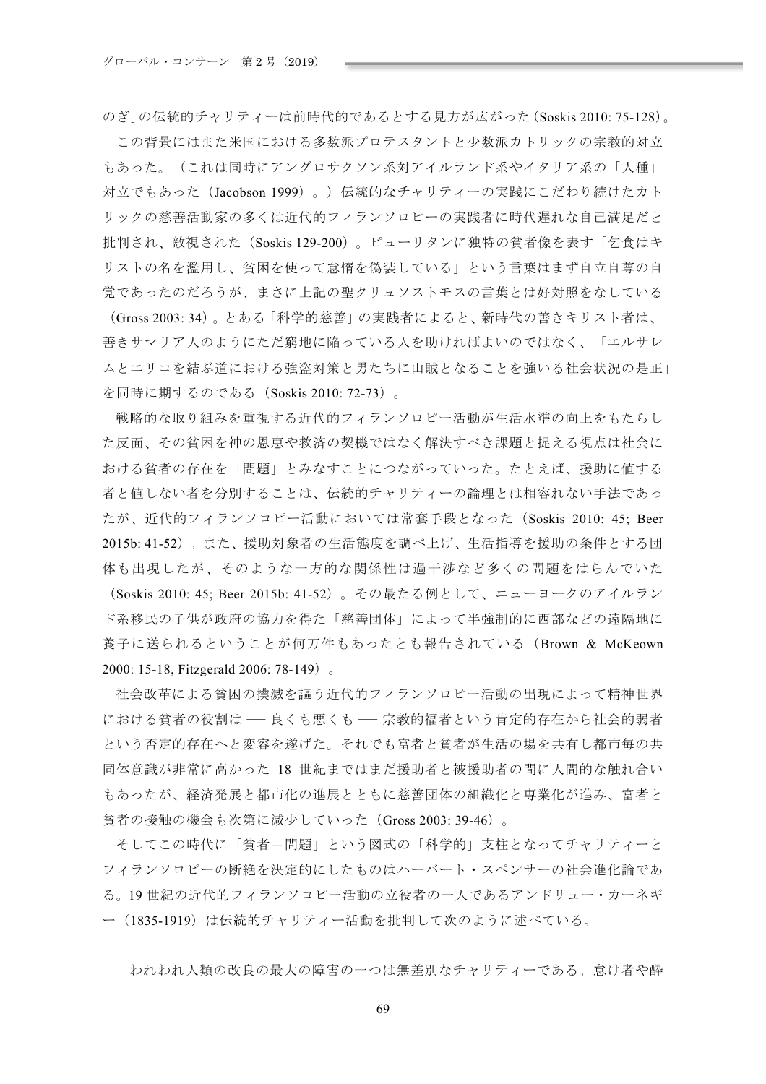のぎ」の伝統的チャリティーは前時代的であるとする見方が広がった $(Soskis 2010: 75-128)$ 。

この背景にはまた米国における多数派プロテスタントと少数派カトリックの宗教的対立 もあった。(これは同時にアングロサクソン系対アイルランド系やイタリア系の「人種」 対立でもあった (Jacobson 1999)。) 伝統的なチャリティーの実践にこだわり続けたカト リックの慈善活動家の多くは近代的フィランソロピーの実践者に時代遅れな自己満足だと 批判され、敵視された (Soskis 129-200)。ピューリタンに独特の貧者像を表す「乞食はキ リストの名を濫用し、貧困を使って怠惰を偽装している」という言葉はまず自立自尊の自 覚であったのだろうが、まさに上記の聖クリュソストモスの言葉とは好対照をなしている

(Gross 2003: 34)。とある「科学的慈善」の実践者によると、新時代の善きキリスト者は、 善きサマリア人のようにただ窮地に陥っている人を助ければよいのではなく、「エルサレ ムとエリコを結ぶ道における強盗対策と男たちに山賊となることを強いる社会状況の是正」 を同時に期するのである (Soskis 2010: 72-73)。

戦略的な取り組みを重視する近代的フィランソロピー活動が生活水準の向上をもたらし た反面、その貧困を神の恩恵や救済の契機ではなく解決すべき課題と捉える視点は社会に おける貧者の存在を「問題」とみなすことにつながっていった。たとえば、援助に値する 者と値しない者を分別することは、伝統的チャリティーの論理とは相容れない手法であっ たが、近代的フィランソロピー活動においては常套手段となった (Soskis 2010: 45; Beer 2015b: 41-52)。また、援助対象者の生活態度を調べ上げ、生活指導を援助の条件とする団 体も出現したが、そのような一方的な関係性は過干渉など多くの問題をはらんでいた

(Soskis 2010: 45; Beer 2015b: 41-52)。その最たる例として、ニューヨークのアイルラン ド系移民の子供が政府の協力を得た「慈善団体」によって半強制的に西部などの遠隔地に 養子に送られるということが何万件もあったとも報告されている (Brown & McKeown 2000: 15-18, Fitzgerald 2006: 78-149)

社会改革による貧困の撲滅を謳う近代的フィランソロピー活動の出現によって精神世界 における貧者の役割は –– 良くも悪くも –– 宗教的福者という肯定的存在から社会的弱者 という否定的存在へと変容を遂げた。それでも富者と貧者が生活の場を共有し都市毎の共 同体意識が非常に高かった 18 世紀まではまだ援助者と被援助者の間に人間的な触れ合い もあったが、経済発展と都市化の進展とともに慈善団体の組織化と専業化が進み、富者と 貧者の接触の機会も次第に減少していった (Gross 2003: 39-46)。

そしてこの時代に「貧者=問題」という図式の「科学的」支柱となってチャリティーと フィランソロピーの断絶を決定的にしたものはハーバート・スペンサーの社会進化論であ る。19世紀の近代的フィランソロピー活動の立役者の一人であるアンドリュー・カーネギ ー (1835-1919) は伝統的チャリティー活動を批判して次のように述べている。

われわれ人類の改良の最大の障害の一つは無差別なチャリティーである。怠け者や酔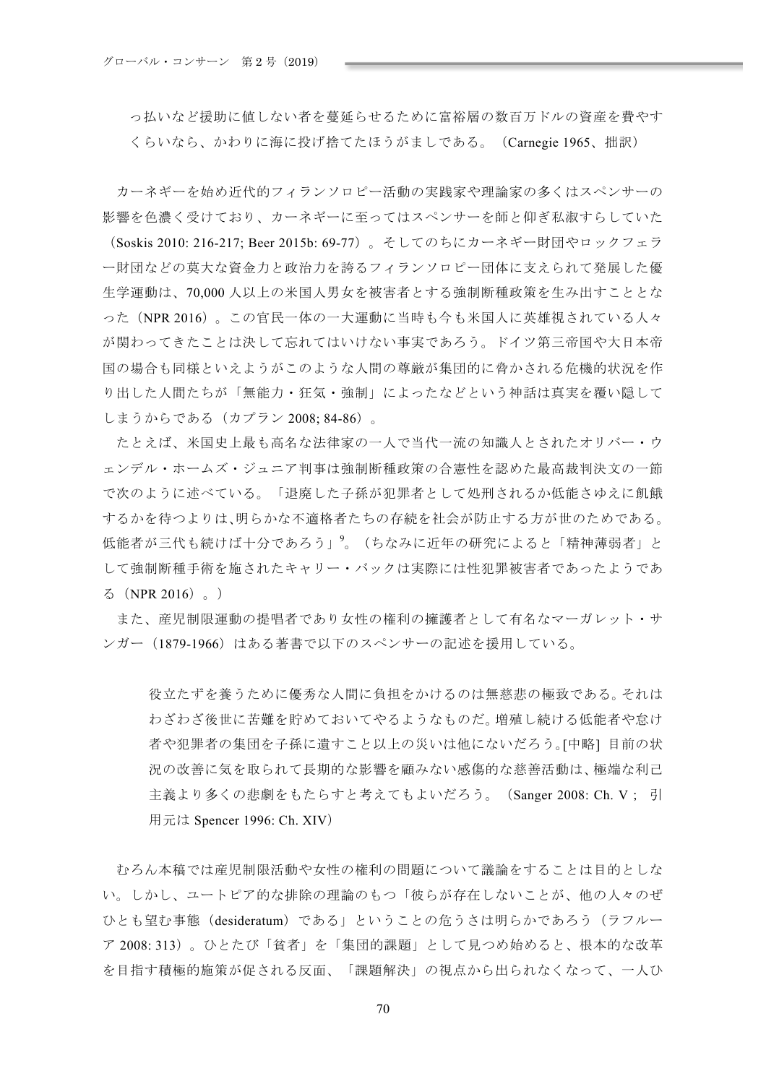っ払いなど援助に値しない者を蔓延らせるために富裕層の数百万ドルの資産を費やす くらいなら、かわりに海に投げ捨てたほうがましである。 (Carnegie 1965、拙訳)

カーネギーを始め近代的フィランソロピー活動の実践家や理論家の多くはスペンサーの 影響を色濃く受けており、カーネギーに至ってはスペンサーを師と仰ぎ私淑すらしていた (Soskis 2010: 216-217; Beer 2015b: 69-77)。 そしてのちにカーネギー財団やロックフェラ 一財団などの莫大な資金力と政治力を誇るフィランソロピー団体に支えられて発展した優 生学運動は、70,000人以上の米国人男女を被害者とする強制断種政策を生み出すこととな った (NPR 2016)。この官民一体の一大運動に当時も今も米国人に英雄視されている人々 が関わってきたことは決して忘れてはいけない事実であろう。ドイツ第三帝国や大日本帝 国の場合も同様といえようがこのような人間の尊厳が集団的に脅かされる危機的状況を作 り出した人間たちが「無能力・狂気・強制」によったなどという神話は真実を覆い隠して しまうからである(カプラン 2008; 84-86)。

たとえば、米国史上最も高名な法律家の一人で当代一流の知識人とされたオリバー・ウ ェンデル・ホームズ・ジュニア判事は強制断種政策の合憲性を認めた最高裁判決文の一節 で次のように述べている。「退廃した子孫が犯罪者として処刑されるか低能さゆえに飢餓 するかを待つよりは、明らかな不適格者たちの存続を社会が防止する方が世のためである。 低能者が三代も続けば十分であろう」
<sup>9</sup>。(ちなみに近年の研究によると「精神薄弱者」と して強制断種手術を施されたキャリー・バックは実際には性犯罪被害者であったようであ  $5$  (NPR 2016)  $_{\circ}$ )

また、産児制限運動の提唱者であり女性の権利の擁護者として有名なマーガレット・サ ンガー (1879-1966) はある著書で以下のスペンサーの記述を援用している。

役立たずを養うために優秀な人間に負担をかけるのは無慈悲の極致である。それは わざわざ後世に苦難を貯めておいてやるようなものだ。増殖し続ける低能者や怠け 者や犯罪者の集団を子孫に遺すこと以上の災いは他にないだろう。[中略] 目前の状 況の改善に気を取られて長期的な影響を顧みない感傷的な慈善活動は、極端な利己 主義より多くの悲劇をもたらすと考えてもよいだろう。 (Sanger 2008: Ch. V: 引 用元は Spencer 1996: Ch. XIV)

むろん本稿では産児制限活動や女性の権利の問題について議論をすることは目的としな い。しかし、ユートピア的な排除の理論のもつ「彼らが存在しないことが、他の人々のぜ ひとも望む事態 (desideratum) である」ということの危うさは明らかであろう (ラフルー  ${\cal T}$  2008: 313)。ひとたび「貧者」を「集団的課題」として見つめ始めると、根本的な改革 を目指す積極的施策が促される反面、「課題解決」の視点から出られなくなって、一人ひ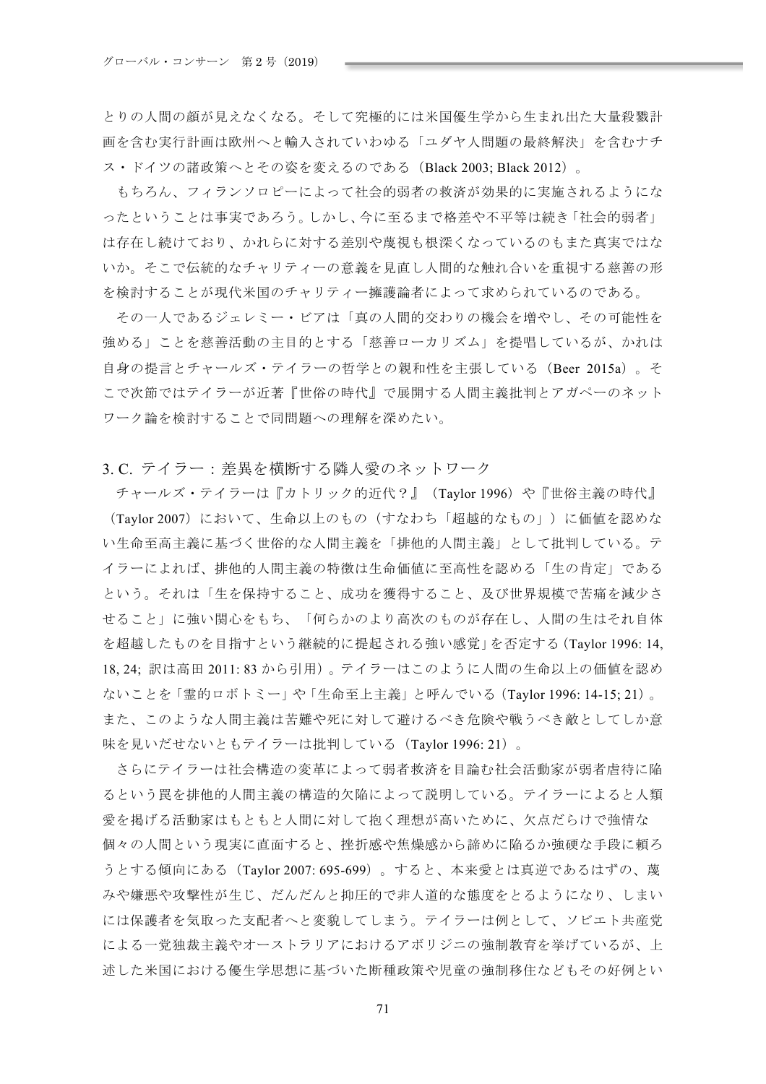とりの人間の顔が見えなくなる。そして究極的には米国優生学から生まれ出た大量殺戮計 画を含む実行計画は欧州へと輸入されていわゆる「ユダヤ人問題の最終解決」を含むナチ ス・ドイツの諸政策へとその姿を変えるのである (Black 2003: Black 2012)。

もちろん、フィランソロピーによって社会的弱者の救済が効果的に実施されるようにな ったということは事実であろう。しかし、今に至るまで格差や不平等は続き「社会的弱者」 は存在し続けており、かれらに対する差別や蔑視も根深くなっているのもまた真実ではな いか。そこで伝統的なチャリティーの意義を見直し人間的な触れ合いを重視する慈善の形 を検討することが現代米国のチャリティー擁護論者によって求められているのである。

その一人であるジェレミー・ビアは「真の人間的交わりの機会を増やし、その可能性を 強める」ことを慈善活動の主目的とする「慈善ローカリズム」を提唱しているが、かれは 自身の提言とチャールズ・テイラーの哲学との親和性を主張している (Beer 2015a)。そ こで次節ではテイラーが近著『世俗の時代』で展開する人間主義批判とアガペーのネット ワーク論を検討することで同問題への理解を深めたい。

## 3.C. テイラー: 差異を横断する隣人愛のネットワーク

チャールズ・テイラーは『カトリック的近代?』 (Taylor 1996) や『世俗主義の時代』 (Taylor 2007) において、生命以上のもの(すなわち「超越的なもの」)に価値を認めな い生命至高主義に基づく世俗的な人間主義を「排他的人間主義」として批判している。テ イラーによれば、排他的人間主義の特徴は生命価値に至高性を認める「生の肯定」である という。それは「生を保持すること、成功を獲得すること、及び世界規模で苦痛を減少さ せること」に強い関心をもち、「何らかのより高次のものが存在し、人間の生はそれ自体 を超越したものを目指すという継続的に提起される強い感覚」を否定する (Taylor 1996: 14. 18, 24; 訳は高田 2011: 83 から引用)。テイラーはこのように人間の生命以上の価値を認め ないことを「霊的ロボトミー」や「生命至上主義」と呼んでいる (Taylor 1996: 14-15; 21)。 また、このような人間主義は苦難や死に対して避けるべき危険や戦うべき敵としてしか意 味を見いだせないともテイラーは批判している (Taylor 1996: 21)。

さらにテイラーは社会構造の変革によって弱者救済を目論む社会活動家が弱者虐待に陥 るという罠を排他的人間主義の構造的欠陥によって説明している。テイラーによると人類 愛を掲げる活動家はもともと人間に対して抱く理想が高いために、欠点だらけで強情な 個々の人間という現実に直面すると、挫折感や焦燥感から諦めに陥るか強硬な手段に頼ろ うとする傾向にある(Taylor 2007: 695-699)。すると、本来愛とは真逆であるはずの、蔑 みや嫌悪や攻撃性が生じ、だんだんと抑圧的で非人道的な熊度をとるようになり、しまい には保護者を気取った支配者へと変貌してしまう。テイラーは例として、ソビエト共産党 による一党独裁主義やオーストラリアにおけるアボリジニの強制教育を挙げているが、上 述した米国における優生学思想に基づいた断種政策や児童の強制移住などもその好例とい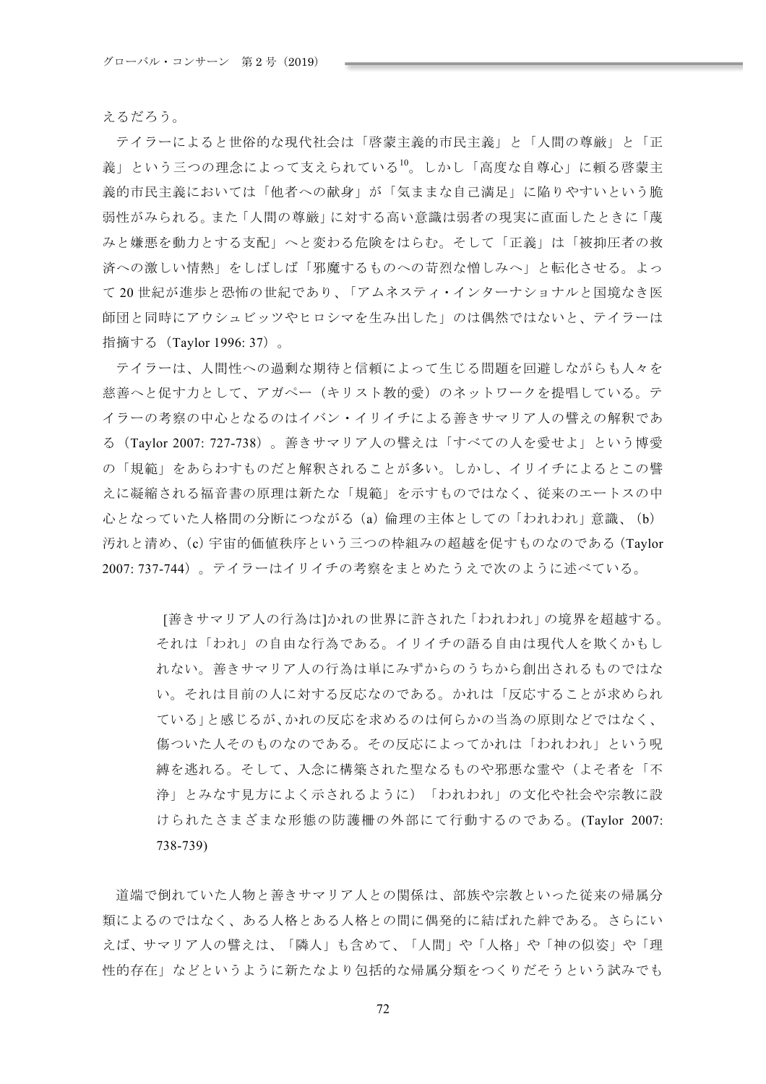えるだろう。

テイラーによると世俗的な現代社会は「啓蒙主義的市民主義」と「人間の尊厳」と「正 義」という三つの理念によって支えられている<sup>10</sup>。しかし「高度な自尊心」に頼る啓蒙主 義的市民主義においては「他者への献身」が「気ままな自己満足」に陥りやすいという脆 弱性がみられる。また「人間の尊厳」に対する高い意識は弱者の現実に直面したときに「蔑 みと嫌悪を動力とする支配」へと変わる危険をはらむ。そして「正義」は「被抑圧者の救 済への激しい情熱」をしばしば「邪魔するものへの苛烈な憎しみへ」と転化させる。よっ て20世紀が進歩と恐怖の世紀であり、「アムネスティ・インターナショナルと国境なき医 師団と同時にアウシュビッツやヒロシマを生み出した」のは偶然ではないと、テイラーは 指摘する (Taylor 1996: 37)。

テイラーは、人間性への過剰な期待と信頼によって生じる問題を回避しながらも人々を 慈善へと促す力として、アガペー(キリスト教的愛)のネットワークを提唱している。テ イラーの考察の中心となるのはイバン・イリイチによる善きサマリア人の譬えの解釈であ る (Taylor 2007: 727-738)。善きサマリア人の譬えは「すべての人を愛せよ」という博愛 の「規範」をあらわすものだと解釈されることが多い。しかし、イリイチによるとこの譬 えに凝縮される福音書の原理は新たな「規範」を示すものではなく、従来のエートスの中 心となっていた人格間の分断につながる(a)倫理の主体としての「われわれ」意識、(b) 汚れと清め、(c) 宇宙的価値秩序という三つの枠組みの超越を促すものなのである (Taylor 2007:737-744)。テイラーはイリイチの考察をまとめたうえで次のように述べている。

「善きサマリア人の行為は]かれの世界に許された「われわれ」の境界を超越する。 それは「われ」の自由な行為である。イリイチの語る自由は現代人を欺くかもし れない。善きサマリア人の行為は単にみずからのうちから創出されるものではな い。それは目前の人に対する反応なのである。かれは「反応することが求められ ている」と感じるが、かれの反応を求めるのは何らかの当為の原則などではなく、 傷ついた人そのものなのである。その反応によってかれは「われわれ」という呪 縛を逃れる。そして、入念に構築された聖なるものや邪悪な霊や(よそ者を「不 浄」とみなす見方によく示されるように)「われわれ」の文化や社会や宗教に設 けられたさまざまな形態の防護柵の外部にて行動するのである。(Taylor 2007:  $738 - 739$ 

道端で倒れていた人物と善きサマリア人との関係は、部族や宗教といった従来の帰属分 類によるのではなく、ある人格とある人格との間に偶発的に結ばれた絆である。さらにい えば、サマリア人の譬えは、「隣人」も含めて、「人間」や「人格」や「神の似姿」や「理 性的存在」などというように新たなより包括的な帰属分類をつくりだそうという試みでも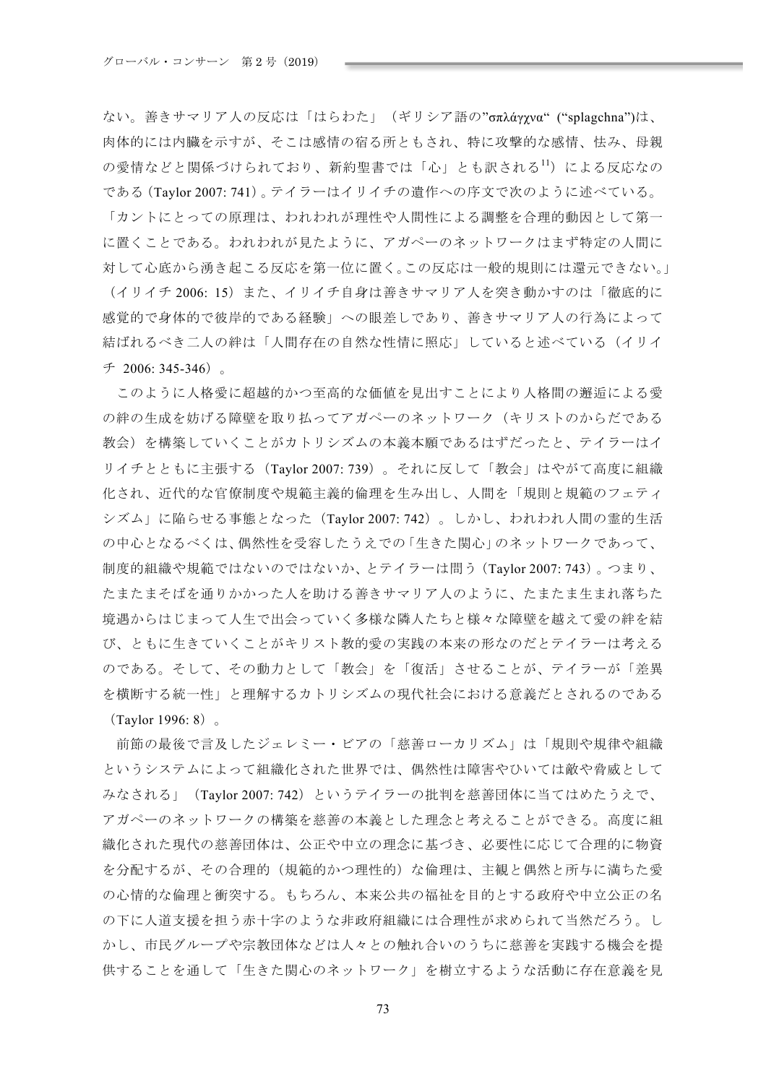ない。善きサマリア人の反応は「はらわた」(ギリシア語の"σπλάγχνα" ("splagchna")は、 肉体的には内臓を示すが、そこは感情の宿る所ともされ、特に攻撃的な感情、怯み、母親 X˨ˠUTS٤ĘP=ruQSs%ͨӱԶΑRYG˃HSk֧Aut<sup>11</sup>ۖVqtƧˈUX である (Taylor 2007: 741)。テイラーはイリイチの遺作への序文で次のように述べている。 「カントにとっての原理は、われわれが理性や人間性による調整を合理的動因として第一 に置くことである。われわれが見たように、アガペーのネットワークはまず特定の人間に 対して心底から湧き起こる反応を第一位に置く。この反応は一般的規則には還元できない。」 (イリイチ 2006: 15) また、イリイチ自身は善きサマリア人を突き動かすのは「徹底的に 感覚的で身体的で彼岸的である経験」への眼差しであり、善きサマリア人の行為によって 結ばれるべき二人の絆は「人間存在の自然な性情に照応」していると述べている(イリイ  $\pm$  2006: 345-346)

このように人格愛に超越的かつ至高的な価値を見出すことにより人格間の邂逅による愛 の絆の生成を妨げる障壁を取り払ってアガペーのネットワーク(キリストのからだである 教会)を構築していくことがカトリシズムの本義本願であるはずだったと、テイラーはイ リイチとともに主張する (Taylor 2007: 739)。 それに反して「教会」はやがて高度に組織 化され、近代的な官僚制度や規範主義的倫理を生み出し、人間を「規則と規範のフェティ シズム」に陥らせる事態となった (Taylor 2007: 742)。しかし、われわれ人間の霊的生活 の中心となるべくは、偶然性を受容したうえでの「生きた関心」のネットワークであって、 制度的組織や規範ではないのではないか、とテイラーは問う (Taylor 2007: 743)。つまり、 たまたまそばを通りかかった人を助ける善きサマリア人のように、たまたま生まれ落ちた 境遇からはじまって人生で出会っていく多様な隣人たちと様々な障壁を越えて愛の絆を結 び、ともに生きていくことがキリスト教的愛の実践の本来の形なのだとテイラーは考える のである。そして、その動力として「教会」を「復活」させることが、テイラーが「差異 を横断する統一性」と理解するカトリシズムの現代社会における意義だとされるのである  $(Taylor 1996: 8)$ 

前節の最後で言及したジェレミー・ビアの「慈善ローカリズム」は「規則や規律や組織 というシステムによって組織化された世界では、偶然性は障害やひいては敵や脅威として みなされる」 (Taylor 2007: 742) というテイラーの批判を慈善団体に当てはめたうえで、 アガペーのネットワークの構築を慈善の本義とした理念と考えることができる。高度に組 織化された現代の慈善団体は、公正や中立の理念に基づき、必要性に応じて合理的に物資 を分配するが、その合理的(規範的かつ理性的)な倫理は、主観と偶然と所与に満ちた愛 の心情的な倫理と衝突する。もちろん、本来公共の福祉を目的とする政府や中立公正の名 の下に人道支援を担う赤十字のような非政府組織には合理性が求められて当然だろう。し かし、市民グループや宗教団体などは人々との触れ合いのうちに慈善を実践する機会を提 供することを通して「生きた関心のネットワーク」を樹立するような活動に存在意義を見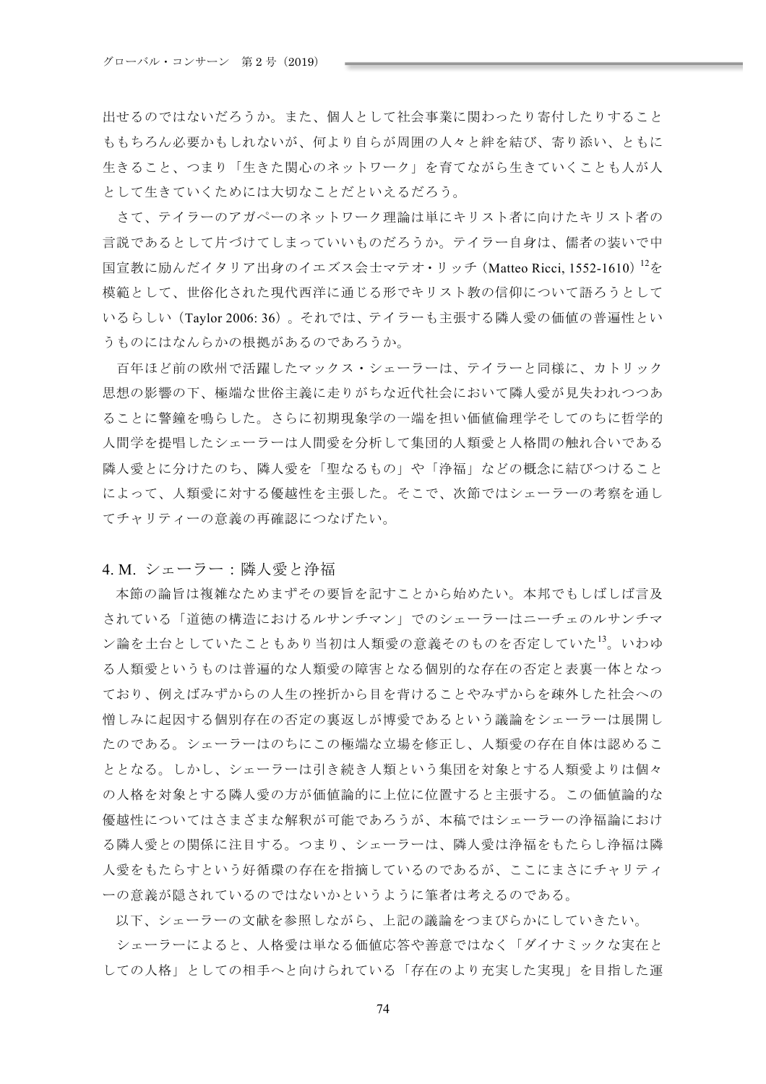出せるのではないだろうか。また、個人として社会事業に関わったり寄付したりすること ももちろん必要かもしれないが、何より自らが周囲の人々と絆を結び、寄り添い、ともに 生きること、つまり「生きた関心のネットワーク」を育てながら生きていくことも人が人 として生きていくためには大切なことだといえるだろう。

さて、テイラーのアガペーのネットワーク理論は単にキリスト者に向けたキリスト者の 言説であるとして片づけてしまっていいものだろうか。テイラー自身は、儒者の装いで中 国宣教に励んだイタリア出身のイエズス会士マテオ・リッチ (Matteo Ricci. 1552-1610) <sup>12</sup>を 樟範として、世俗化された現代西洋に通じる形でキリスト教の信仰について語ろうとして いるらしい (Taylor 2006:36)。それでは、テイラーも主張する隣人愛の価値の普遍性とい うものにはなんらかの根拠があるのであろうか。

百年ほど前の欧州で活躍したマックス・シェーラーは、テイラーと同様に、カトリック 思想の影響の下、極端な世俗主義に走りがちな近代社会において隣人愛が見失われつつあ ることに警鐘を鳴らした。さらに初期現象学の一端を担い価値倫理学そしてのちに哲学的 人間学を提唱したシェーラーは人間愛を分析して集団的人類愛と人格間の触れ合いである 隣人愛とに分けたのち、隣人愛を「聖なるもの」や「浄福」などの概念に結びつけること によって、人類愛に対する優越性を主張した。そこで、次節ではシェーラーの考察を通し てチャリティーの意義の再確認につなげたい。

### 4. M. シェーラー:隣人愛と浄福

本節の論旨は複雑なためまずその要旨を記すことから始めたい。本邦でもしばしば言及 されている「道徳の構造におけるルサンチマン」でのシェーラーはニーチェのルサンチマ ン論を土台としていたこともあり当初は人類愛の意義そのものを否定していた<sup>13</sup>。いわゆ る人類愛というものは普遍的な人類愛の障害となる個別的な存在の否定と表裏一体となっ ており、例えばみずからの人生の挫折から目を背けることやみずからを疎外した社会への 憎しみに起因する個別存在の否定の裏返しが博愛であるという議論をシェーラーは展開し たのである。シェーラーはのちにこの極端な立場を修正し、人類愛の存在自体は認めるこ ととなる。しかし、シェーラーは引き続き人類という集団を対象とする人類愛よりは個々 の人格を対象とする隣人愛の方が価値論的に上位に位置すると主張する。この価値論的な 優越性についてはさまざまな解釈が可能であろうが、本稿ではシェーラーの浄福論におけ る隣人愛との関係に注目する。つまり、シェーラーは、隣人愛は浄福をもたらし浄福は隣 人愛をもたらすという好循環の存在を指摘しているのであるが、ここにまさにチャリティ 一の意義が隠されているのではないかというように筆者は考えるのである。

以下、シェーラーの文献を参照しながら、上記の議論をつまびらかにしていきたい。

シェーラーによると、人格愛は単なる価値応答や善意ではなく「ダイナミックな実在と しての人格」としての相手へと向けられている「存在のより充実した実現」を目指した運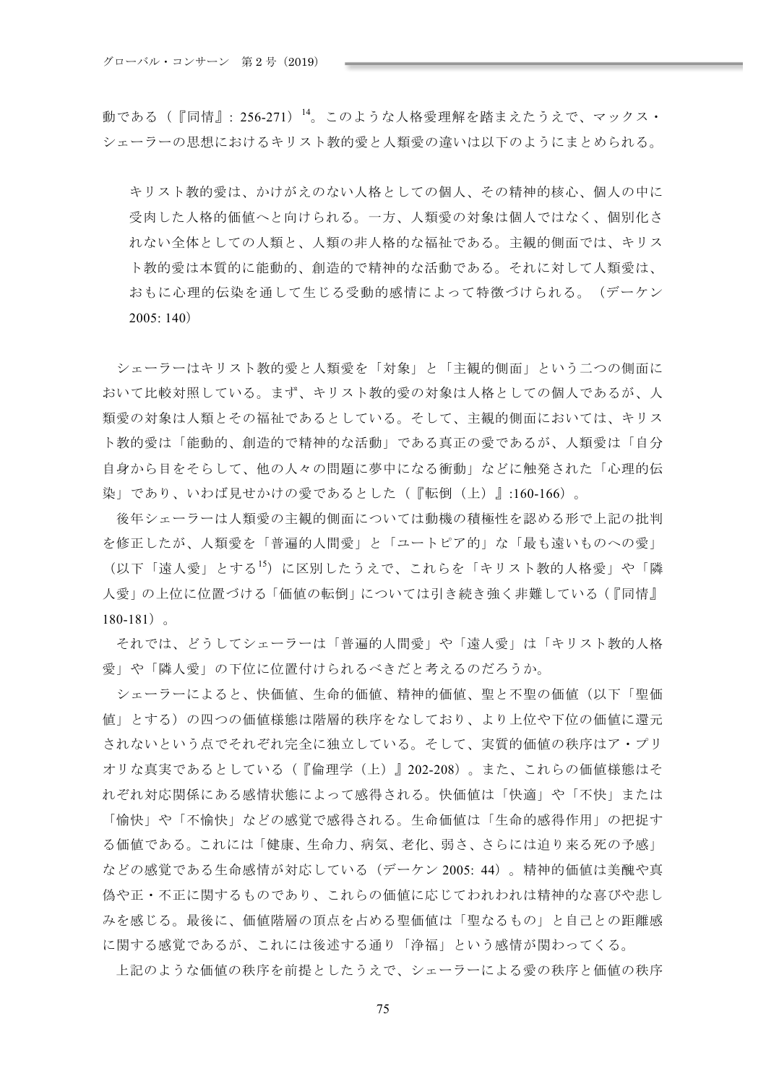動である(『同情』: 256-271) <sup>14</sup>。このような人格愛理解を踏まえたうえで、マックス· シェーラーの思想におけるキリスト教的愛と人類愛の違いは以下のようにまとめられる。

キリスト教的愛は、かけがえのない人格としての個人、その精神的核心、個人の中に 受肉した人格的価値へと向けられる。一方、人類愛の対象は個人ではなく、個別化さ れない全体としての人類と、人類の非人格的な福祉である。主観的側面では、キリス ト教的愛は本質的に能動的、創造的で精神的な活動である。それに対して人類愛は、 おもに心理的伝染を通して生じる受動的感情によって特徴づけられる。(デーケン  $2005:140)$ 

シェーラーはキリスト教的愛と人類愛を「対象」と「主観的側面」という二つの側面に おいて比較対照している。まず、キリスト教的愛の対象は人格としての個人であるが、人 類愛の対象は人類とその福祉であるとしている。そして、主観的側面においては、キリス ト教的愛は「能動的、創造的で精神的な活動」である真正の愛であるが、人類愛は「自分 自身から目をそらして、他の人々の問題に夢中になる衝動」などに触発された「心理的伝 染」であり、いわば見せかけの愛であるとした(『転倒(上)』:160-166)。

後年シェーラーは人類愛の主観的側面については動機の積極性を認める形で上記の批判 を修正したが、人類愛を「普遍的人間愛」と「ユートピア的」な「最も遠いものへの愛」 (以下「遠人愛」とする<sup>15</sup>) に区別したうえで、これらを「キリスト教的人格愛」や「隣 人愛」の上位に位置づける「価値の転倒」については引き続き強く非難している(『同情』  $180-181$ )

それでは、どうしてシェーラーは「普遍的人間愛」や「遠人愛」は「キリスト教的人格 愛」や「隣人愛」の下位に位置付けられるべきだと考えるのだろうか。

シェーラーによると、快価値、生命的価値、精神的価値、聖と不聖の価値(以下「聖価 値」とする)の四つの価値様態は階層的秩序をなしており、より上位や下位の価値に還元 されないという点でそれぞれ完全に独立している。そして、実質的価値の秩序はア・プリ オリな真実であるとしている(『倫理学(上)』202-208)。また、これらの価値様熊はそ れぞれ対応関係にある感情状熊によって感得される。快価値は「快適」や「不快」または 「愉快」や「不愉快」などの感覚で感得される。生命価値は「生命的感得作用」の把捉す る価値である。これには「健康、生命力、病気、老化、弱さ、さらには迫り来る死の予感」 などの感覚である生命感情が対応している(デーケン2005:44)。精神的価値は美醜や真 偽や正・不正に関するものであり、これらの価値に応じてわれわれは精神的な喜びや悲し みを感じる。最後に、価値階層の頂点を占める聖価値は「聖なるもの」と自己との距離感 に関する感覚であるが、これには後述する通り「浄福」という感情が関わってくる。

上記のような価値の秩序を前提としたうえで、シェーラーによる愛の秩序と価値の秩序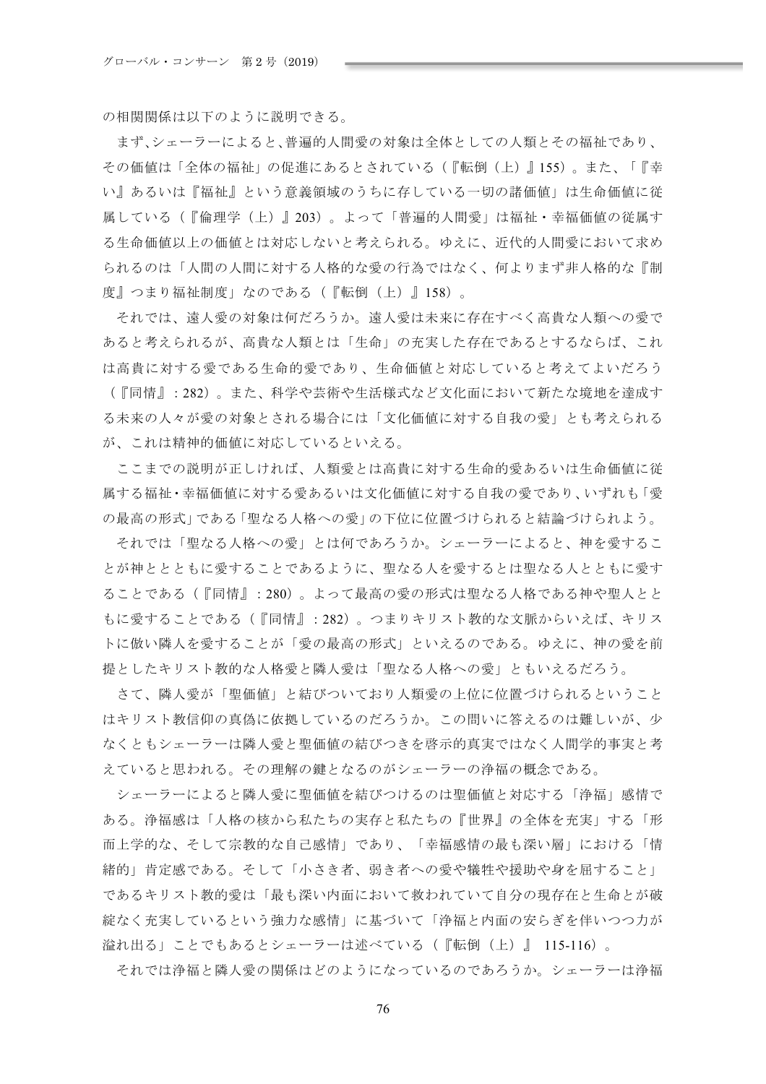の相関関係は以下のように説明できる。

まず、シェーラーによると、普遍的人間愛の対象は全体としての人類とその福祉であり、 その価値は「全体の福祉」の促進にあるとされている(『転倒(上)』155)。また、「『幸 い』あるいは『福祉』という意義領域のうちに存している一切の諸価値」は生命価値に従 属している(『倫理学(上)』203)。よって「普遍的人間愛」は福祉・幸福価値の従属す る生命価値以上の価値とは対応しないと考えられる。ゆえに、近代的人間愛において求め られるのは「人間の人間に対する人格的な愛の行為ではなく、何よりまず非人格的な『制 度』つまり福祉制度」なのである(『転倒(上)』158)。

それでは、遠人愛の対象は何だろうか。遠人愛は未来に存在すべく高貴な人類への愛で あると考えられるが、高貴な人類とは「生命」の充実した存在であるとするならば、これ は高貴に対する愛である生命的愛であり、生命価値と対応していると考えてよいだろう (『同情』: 282)。また、科学や芸術や生活様式など文化面において新たな境地を達成す

る未来の人々が愛の対象とされる場合には「文化価値に対する自我の愛」とも考えられる が、これは精神的価値に対応しているといえる。

ここまでの説明が正しければ、人類愛とは高貴に対する生命的愛あるいは生命価値に従 属する福祉・幸福価値に対する愛あるいは文化価値に対する自我の愛であり、いずれも「愛 の最高の形式」である「聖なる人格への愛」の下位に位置づけられると結論づけられよう。

それでは「聖なる人格への愛」とは何であろうか。シェーラーによると、神を愛するこ とが神ととともに愛することであるように、聖なる人を愛するとは聖なる人とともに愛す ることである(『同情』: 280)。よって最高の愛の形式は聖なる人格である神や聖人とと もに愛することである(『同情』: 282)。つまりキリスト教的な文脈からいえば、キリス トに倣い隣人を愛することが「愛の最高の形式」といえるのである。ゆえに、神の愛を前 提としたキリスト教的な人格愛と隣人愛は「聖なる人格への愛」ともいえるだろう。

さて、隣人愛が「聖価値」と結びついており人類愛の上位に位置づけられるということ はキリスト教信仰の真偽に依拠しているのだろうか。この問いに答えるのは難しいが、少 なくともシェーラーは隣人愛と聖価値の結びつきを啓示的真実ではなく人間学的事実と考 えていると思われる。その理解の鍵となるのがシェーラーの浄福の概念である。

シェーラーによると隣人愛に聖価値を結びつけるのは聖価値と対応する「浄福」感情で ある。浄福感は「人格の核から私たちの実存と私たちの『世界』の全体を充実」する「形 而上学的な、そして宗教的な自己感情」であり、「幸福感情の最も深い層」における「情 緒的」肯定感である。そして「小さき者、弱き者への愛や犠牲や援助や身を屈すること」 であるキリスト教的愛は「最も深い内面において救われていて自分の現存在と生命とが破 綻なく充実しているという強力な感情」に基づいて「浄福と内面の安らぎを伴いつつ力が 溢れ出る」ことでもあるとシェーラーは述べている(『転倒(上)』 115-116)。

それでは浄福と隣人愛の関係はどのようになっているのであろうか。シェーラーは浄福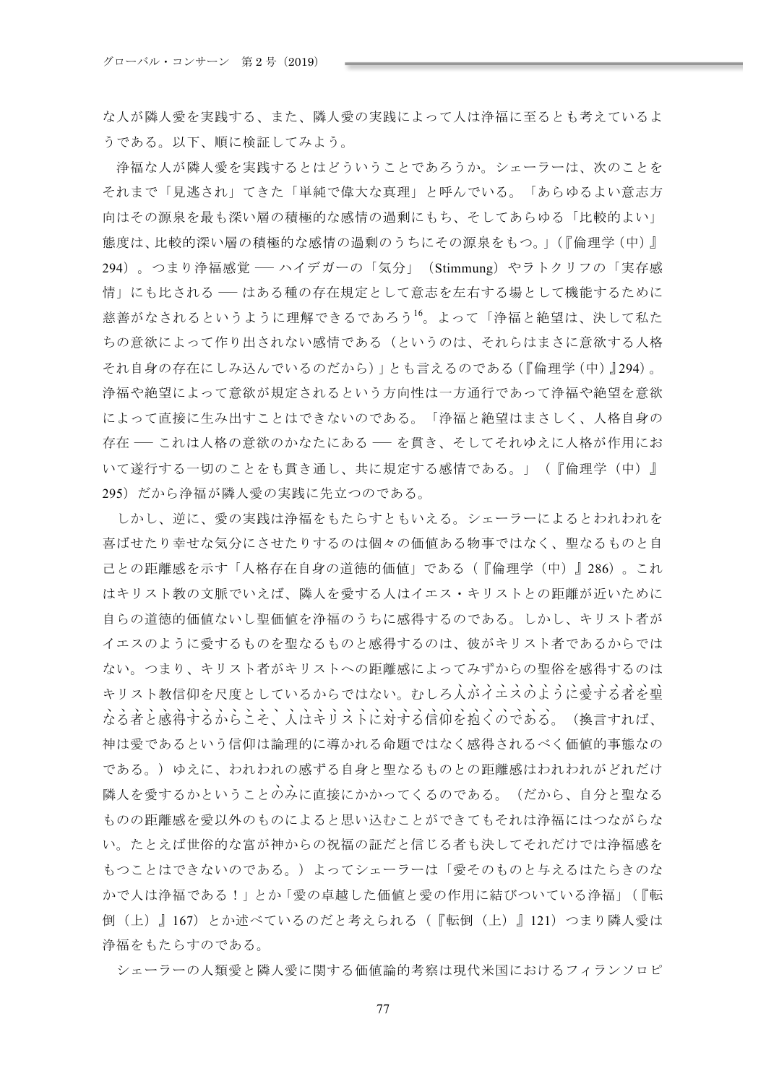な人が隣人愛を実践する、また、隣人愛の実践によって人は浄福に至るとも考えているよ うである。以下、順に検証してみよう。

浄福な人が隣人愛を実践するとはどういうことであろうか。シェーラーは、次のことを それまで「見逃され」てきた「単純で偉大な真理」と呼んでいる。「あらゆるよい意志方 向はその源泉を最も深い層の積極的な感情の過剰にもち、そしてあらゆる「比較的よい」 熊度は、比較的深い層の積極的な感情の過剰のうちにその源泉をもつ。」(『倫理学 (中)』 294)。つまり浄福感覚 –– ハイデガーの「気分」 (Stimmung) やラトクリフの「実存感 情」にも比される –– はある種の存在規定として意志を左右する場として機能するために 慈善がなされるというように理解できるであろう<sup>16</sup>。よって「浄福と絶望は、決して私た ちの意欲によって作り出されない感情である(というのは、それらはまさに意欲する人格 それ自身の存在にしみ込んでいるのだから)」とも言えるのである(『倫理学(中)』294)。 浄福や絶望によって意欲が規定されるという方向性は一方通行であって浄福や絶望を意欲 によって直接に生み出すことはできないのである。「浄福と絶望はまさしく、人格自身の 存在––これは人格の意欲のかなたにある––を貫き、そしてそれゆえに人格が作用にお いて遂行する一切のことをも貫き通し、共に規定する感情である。」(『倫理学(中)』 295)だから浄福が隣人愛の実践に先立つのである。

しかし、逆に、愛の実践は浄福をもたらすともいえる。シェーラーによるとわれわれを 喜ばせたり幸せな気分にさせたりするのは個々の価値ある物事ではなく、聖なるものと自 己との距離感を示す「人格存在自身の道徳的価値」である(『倫理学(中)』286)。これ はキリスト教の文脈でいえば、隣人を愛する人はイエス・キリストとの距離が近いために 自らの道徳的価値ないし聖価値を浄福のうちに感得するのである。しかし、キリスト者が イエスのように愛するものを聖なるものと感得するのは、彼がキリスト者であるからでは ない。つまり、キリスト者がキリストへの距離感によってみずからの聖俗を感得するのは キリスト教信仰を尺度としているからではない。むしろ人がイエスのように愛する者を聖 なる者と感得するからこそ、人はキリストに対する信仰を抱くのである。(換言すれば、 神は愛であるという信仰は論理的に導かれる命題ではなく感得されるべく価値的事熊なの である。)ゆえに、われわれの感ずる自身と聖なるものとの距離感はわれわれがどれだけ 隣人を愛するかということのみに直接にかかってくるのである。(だから、自分と聖なる ものの距離感を愛以外のものによると思い込むことができてもそれは浄福にはつながらな い。たとえば世俗的な富が神からの祝福の証だと信じる者も決してそれだけでは浄福感を もつことはできないのである。)よってシェーラーは「愛そのものと与えるはたらきのな かで人は浄福である!」とか「愛の卓越した価値と愛の作用に結びついている浄福」(『転 倒(上)』167) とか述べているのだと考えられる(『転倒(上)』121) つまり隣人愛は 浄福をもたらすのである。

シェーラーの人類愛と隣人愛に関する価値論的考察は現代米国におけるフィランソロピ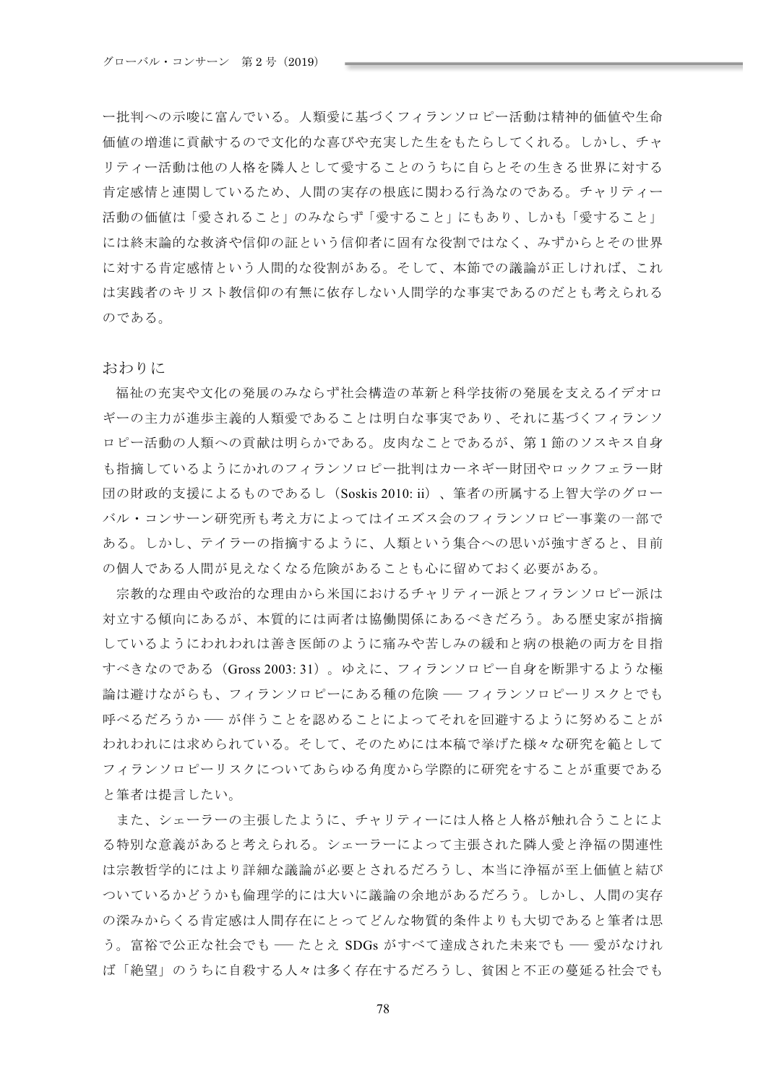一批判への示唆に富んでいる。人類愛に基づくフィランソロピー活動は精神的価値や生命 価値の増進に貢献するので文化的な喜びや充実した生をもたらしてくれる。しかし、チャ リティー活動は他の人格を隣人として愛することのうちに自らとその生きる世界に対する 肯定感情と連関しているため、人間の実存の根底に関わる行為なのである。チャリティー 活動の価値は「愛されること」のみならず「愛すること」にもあり、しかも「愛すること」 には終末論的な救済や信仰の証という信仰者に固有な役割ではなく、みずからとその世界 に対する肯定感情という人間的な役割がある。そして、本節での議論が正しければ、これ は実践者のキリスト教信仰の有無に依存しない人間学的な事実であるのだとも考えられる のである。

おわりに

福祉の充実や文化の発展のみならず社会構造の革新と科学技術の発展を支えるイデオロ ギーの主力が進歩主義的人類愛であることは明白な事実であり、それに基づくフィランソ ロピー活動の人類への貢献は明らかである。皮肉なことであるが、第1節のソスキス自身 も指摘しているようにかれのフィランソロピー批判はカーネギー財団やロックフェラー財 団の財政的支援によるものであるし (Soskis 2010: ii) 、筆者の所属する上智大学のグロー バル・コンサーン研究所も考え方によってはイエズス会のフィランソロピー事業の一部で ある。しかし、テイラーの指摘するように、人類という集合への思いが強すぎると、目前 の個人である人間が見えなくなる危険があることも心に留めておく必要がある。

宗教的な理由や政治的な理由から米国におけるチャリティー派とフィランソロピー派は 対立する傾向にあるが、本質的には両者は協働関係にあるべきだろう。ある歴史家が指摘 しているようにわれわれは善き医師のように痛みや苦しみの緩和と病の根絶の両方を目指 すべきなのである (Gross 2003: 31)。ゆえに、フィランソロピー自身を断罪するような極 論は避けながらも、フィランソロピーにある種の危険 –– フィランソロピーリスクとでも 呼べるだろうか ― が伴うことを認めることによってそれを回避するように努めることが われわれには求められている。そして、そのためには本稿で挙げた様々な研究を範として フィランソロピーリスクについてあらゆる角度から学際的に研究をすることが重要である と筆者は提言したい。

また、シェーラーの主張したように、チャリティーには人格と人格が触れ合うことによ る特別な意義があると考えられる。シェーラーによって主張された隣人愛と浄福の関連性 は宗教哲学的にはより詳細な議論が必要とされるだろうし、本当に浄福が至上価値と結び ついているかどうかも倫理学的には大いに議論の余地があるだろう。しかし、人間の実存 の深みからくる肯定感は人間存在にとってどんな物質的条件よりも大切であると筆者は思 う。富裕で公正な社会でも ― たとえ SDGs がすべて達成された未来でも ― 愛がなけれ ば「絶望」のうちに自殺する人々は多く存在するだろうし、貧困と不正の蔓延る社会でも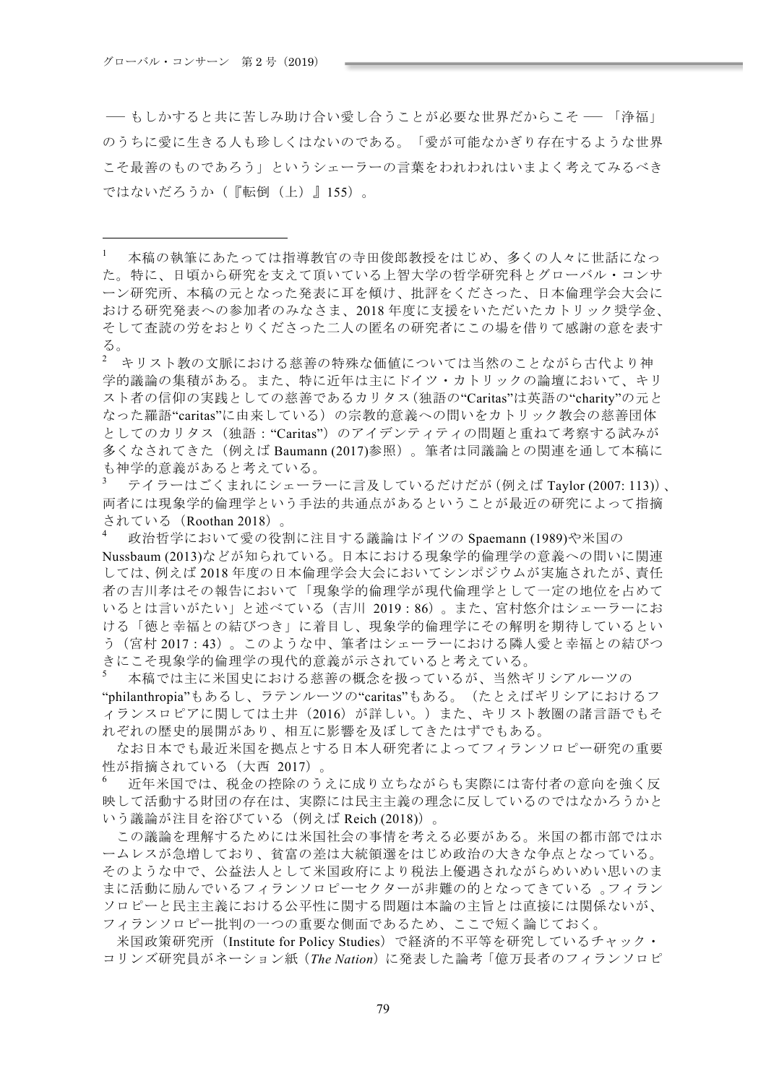─ もしかすると共に苦しみ助け合い愛し合うことが必要な世界だからこそ ─ 「浄福」 のうちに愛に生きる人も珍しくはないのである。「愛が可能なかぎり存在するような世界 こそ最善のものであろう」というシェーラーの言葉をわれわれはいまよく考えてみるべき ではないだろうか(『転倒(上)』155)。

2 キリスト教の文脈における慈善の特殊な価値については当然のことながら古代より神 学的議論の集積がある。また、特に近年は主にドイツ・カトリックの論壇において、キリ スト者の信仰の実践としての慈善であるカリタス(独語の"Caritas"は英語の"charity"の元と なった羅語"caritas"に由来している)の宗教的意義への問いをカトリック教会の慈善団体 としてのカリタス(独語:"Caritas")のアイデンティティの問題と重ねて考察する試みが 多くなされてきた(例えば Baumann (2017)参照)。筆者は同議論との関連を通して本稿に も神学的意義があると考えている。

テイラーはごくまれにシェーラーに言及しているだけだが (例えば Taylor (2007: 113))、 両者には現象学的倫理学という手法的共通点があるということが最近の研究によって指摘 されている (Roothan 2018)。

政治哲学において愛の役割に注目する議論はドイツの Spaemann (1989)や米国の Nussbaum (2013)などが知られている。日本における現象学的倫理学の意義への問いに関連 しては、例えば2018年度の日本倫理学会大会においてシンポジウムが実施されたが、責任 者の吉川孝はその報告において「現象学的倫理学が現代倫理学として一定の地位を占めて いるとは言いがたい」と述べている (吉川 2019:86)。また、宮村悠介はシェーラーにお ける「徳と幸福との結びつき」に着目し、現象学的倫理学にその解明を期待しているとい う(宮村2017:43)。このような中、筆者はシェーラーにおける隣人愛と幸福との結びつ きにこそ現象学的倫理学の現代的意義が示されていると考えている。

本稿では主に米国史における慈善の概念を扱っているが、当然ギリシアルーツの "philanthropia"もあるし、ラテンルーツの"caritas"もある。(たとえばギリシアにおけるフ ィランスロピアに関しては土井 (2016) が詳しい。)また、キリスト教圏の諸言語でもそ れぞれの歴史的展開があり、相互に影響を及ぼしてきたはずでもある。

なお日本でも最近米国を拠点とする日本人研究者によってフィランソロピー研究の重要 性が指摘されている (大西 2017)。

近年米国では、税金の控除のうえに成り立ちながらも実際には寄付者の意向を強く反 映して活動する財団の存在は、実際には民主主義の理念に反しているのではなかろうかと いう議論が注目を浴びている (例えば Reich (2018))。

この議論を理解するためには米国社会の事情を考える必要がある。米国の都市部ではホ ームレスが急増しており、貧富の差は大統領選をはじめ政治の大きな争点となっている。 そのような中で、公益法人として米国政府により税法上優遇されながらめいめい思いのま まに活動に励んでいるフィランソロピーセクターが非難の的となってきている。フィラン ソロピーと民主主義における公平性に関する問題は本論の主旨とは直接には関係ないが、 フィランソロピー批判の一つの重要な側面であるため、ここで短く論じておく。

米国政策研究所 (Institute for Policy Studies) で経済的不平等を研究しているチャック· コリンズ研究員がネーション紙 (The Nation) に発表した論考「億万長者のフィランソロピ

 $1$ 本稿の執筆にあたっては指導教官の寺田俊郎教授をはじめ、多くの人々に世話になっ た。特に、日頃から研究を支えて頂いている上智大学の哲学研究科とグローバル・コンサ ーン研究所、本稿の元となった発表に耳を傾け、批評をくださった、日本倫理学会大会に おける研究発表への参加者のみなさま、2018年度に支援をいただいたカトリック奨学金、 そして査読の労をおとりくださった二人の匿名の研究者にこの場を借りて感謝の意を表す る。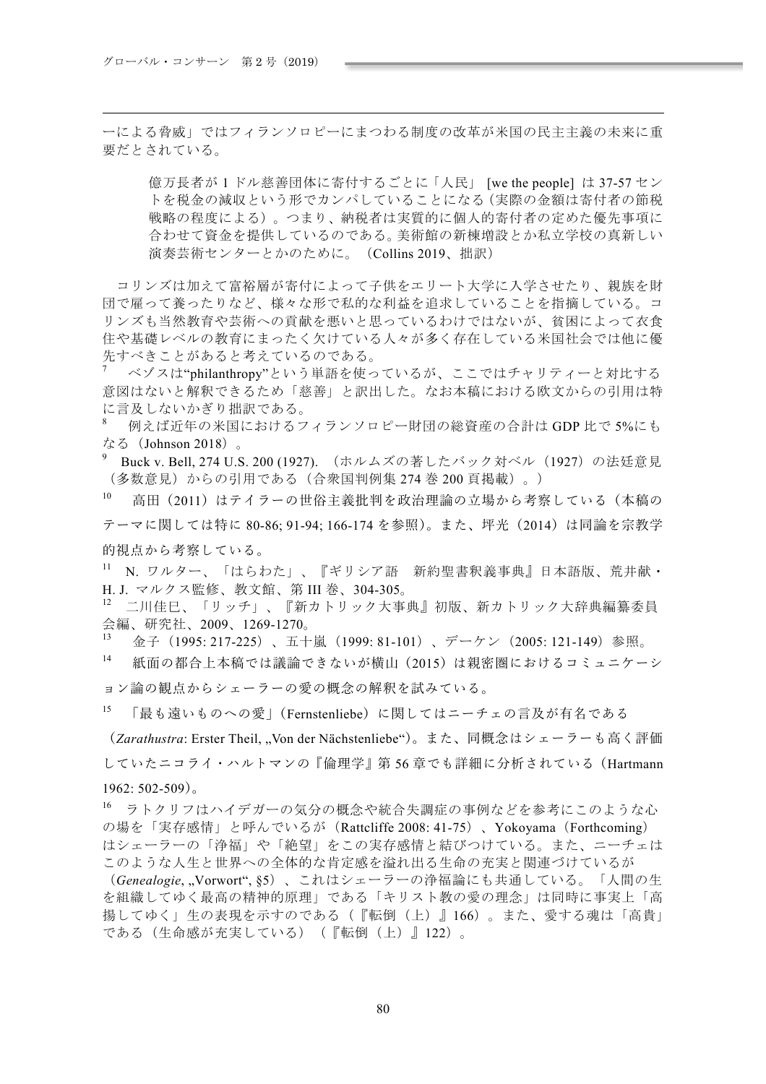ーによる脅威」ではフィランソロピーにまつわる制度の改革が米国の民主主義の未来に重 要だとされている。

億万長者が1ドル慈善団体に寄付するごとに「人民」 [we the people] は 37-57 セン トを税金の減収という形でカンパしていることになる (実際の金額は寄付者の節税 戦略の程度による)。つまり、納税者は実質的に個人的寄付者の定めた優先事項に 合わせて資金を提供しているのである。美術館の新棟増設とか私立学校の真新しい 演奏芸術センターとかのために。 (Collins 2019、拙訳)

コリンズは加えて富裕層が寄付によって子供をエリート大学に入学させたり、親族を財 団で雇って養ったりなど、様々な形で私的な利益を追求していることを指摘している。コ リンズも当然教育や芸術への貢献を悪いと思っているわけではないが、貧困によって衣食 住や基礎レベルの教育にまったく欠けている人々が多く存在している米国社会では他に優 先すべきことがあると考えているのである。

ベゾスは"philanthropy"という単語を使っているが、ここではチャリティーと対比する 意図はないと解釈できるため「慈善」と訳出した。なお本稿における欧文からの引用は特 に言及しないかぎり拙訳である。

例えば近年の米国におけるフィランソロピー財団の総資産の合計は GDP 比で 5%にも なる (Johnson 2018)。

Buck v. Bell, 274 U.S. 200 (1927). (ホルムズの著したバック対ベル (1927) の法廷意見 (多数意見)からの引用である(合衆国判例集 274 巻 200 頁掲載)。)

 $10$ 高田(2011)はテイラーの世俗主義批判を政治理論の立場から考察している(本稿の テーマに関しては特に 80-86; 91-94; 166-174 を参照)。また、坪光 (2014) は同論を宗教学 的視点から考察している。

11 N. ワルター、「はらわた」、『ギリシア語 新約聖書釈義事典』日本語版、荒井献· H. J. マルクス監修、教文館、第 III 巻、304-305。

二川佳巳、「リッチ」、『新カトリック大事典』初版、新カトリック大辞典編纂委員 会編、研究社、2009、1269-1270。

金子 (1995: 217-225)、五十嵐 (1999: 81-101)、デーケン (2005: 121-149) 参照。

 $14$ 紙面の都合上本稿では議論できないが横山 (2015) は親密圏におけるコミュニケーシ ョン論の観点からシェーラーの愛の概念の解釈を試みている。

15 「最も遠いものへの愛」(Fernstenliebe)に関してはニーチェの言及が有名である (Zarathustra: Erster Theil, "Von der Nächstenliebe")。また、同概念はシェーラーも高く評価 していたニコライ・ハルトマンの『倫理学』第56章でも詳細に分析されている(Hartmann

### $1962:502-509$ ).

16 ラトクリフはハイデガーの気分の概念や統合失調症の事例などを参考にこのような心 の場を「実存感情」と呼んでいるが (Rattcliffe 2008: 41-75)、 Yokovama (Forthcoming) はシェーラーの「浄福」や「絶望」をこの実存感情と結びつけている。また、ニーチェは このような人生と世界への全体的な肯定感を溢れ出る生命の充実と関連づけているが

(Genealogie, Vorwort", §5)、これはシェーラーの浄福論にも共通している。「人間の生 を組織してゆく最高の精神的原理」である「キリスト教の愛の理念」は同時に事実上「高 揚してゆく」生の表現を示すのである(『転倒(上)』166)。また、愛する魂は「高貴」 である(生命感が充実している) (『転倒(上)』122)。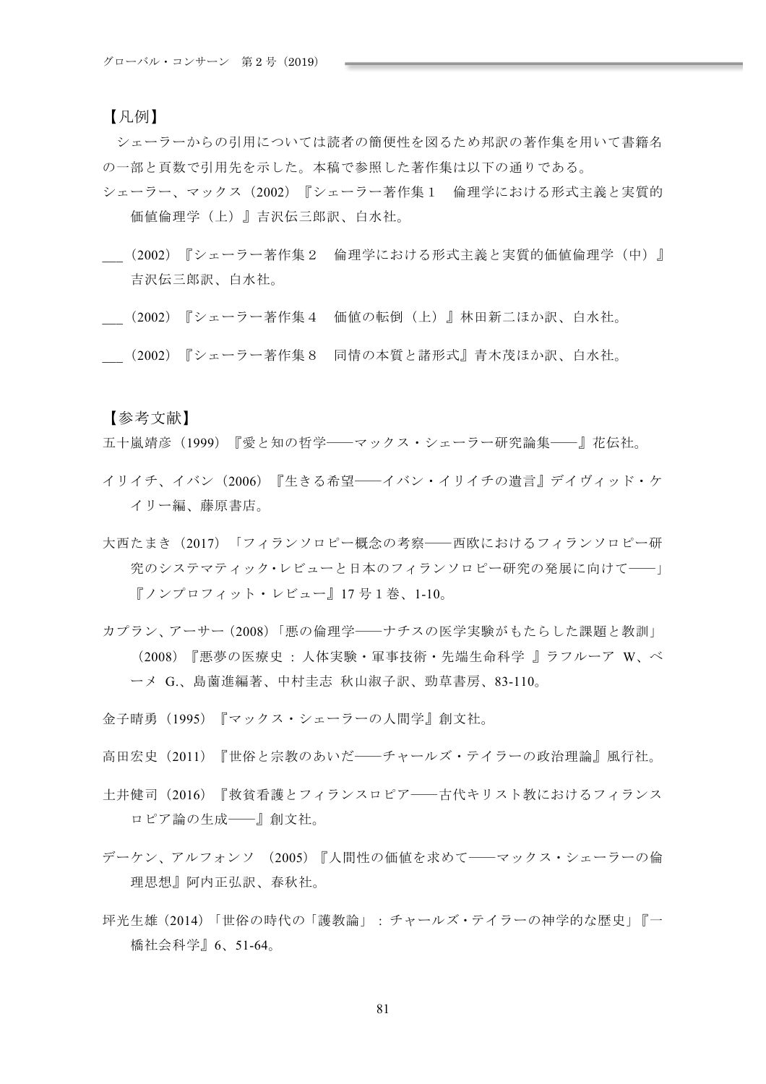## 【凡例】

シェーラーからの引用については読者の簡便性を図るため邦訳の著作集を用いて書籍名 の一部と頁数で引用先を示した。本稿で参照した著作集は以下の通りである。

- シェーラー、マックス (2002) 『シェーラー著作集1 倫理学における形式主義と実質的 価値倫理学(上)』吉沢伝三郎訳、白水社。
- (2002) 『シェーラー著作集2 倫理学における形式主義と実質的価値倫理学(中)』 吉沢伝三郎訳、白水社。
- (2002) 『シェーラー著作集4 価値の転倒(上)』林田新二ほか訳、白水社。
- \_\_\_ە2002ۖIÊ¿Êիčڃۢ ƺˠXΟקSׅʯʥ-ڎΜՠd7֧%Ҋϲү&

【参考文献】

五十嵐靖彦 (1999) 『愛と知の哲学――マックス・シェーラー研究論集――』花伝社。

- イリイチ、イバン(2006)『生きる希望――イバン・イリイチの遺言』デイヴィッド・ケ イリー編、藤原書店。
- 大西たまき (2017) 「フィランソロピー概念の考察――西欧におけるフィランソロピー研 究のシステマティック・レビューと日本のフィランソロピー研究の発展に向けて——」  $\lceil$ ノンプロフィット・レビュー』17号1巻、1-10。
- カプラン、アーサー (2008)「悪の倫理学――ナチスの医学実験がもたらした課題と教訓」 (2008) 『悪夢の医療史 · 人体実験・軍事技術・先端生命科学 | ラフルーア W. ベ 一メ G.、島薗進編著、中村圭志 秋山淑子訳、勁草書房、83-110。
- 金子晴勇(1995)『マックス・シェーラーの人間学』創文社。
- 高田宏史 (2011) 『世俗と宗教のあいだ――チャールズ・テイラーの政治理論』風行社。
- 土井健司 (2016) 『救省看護とフィランスロピア––古代キリスト教におけるフィランス ロピア論の生成–––』創文社。
- デーケン、アルフォンソ (2005)『人間性の価値を求めて――マックス・シェーラーの倫 理思想』阿内正弘訳、春秋社。
- 坪光生雄 (2014) 「世俗の時代の「護教論」: チャールズ・テイラーの神学的な歴史」『一 橋社会科学』6、51-64。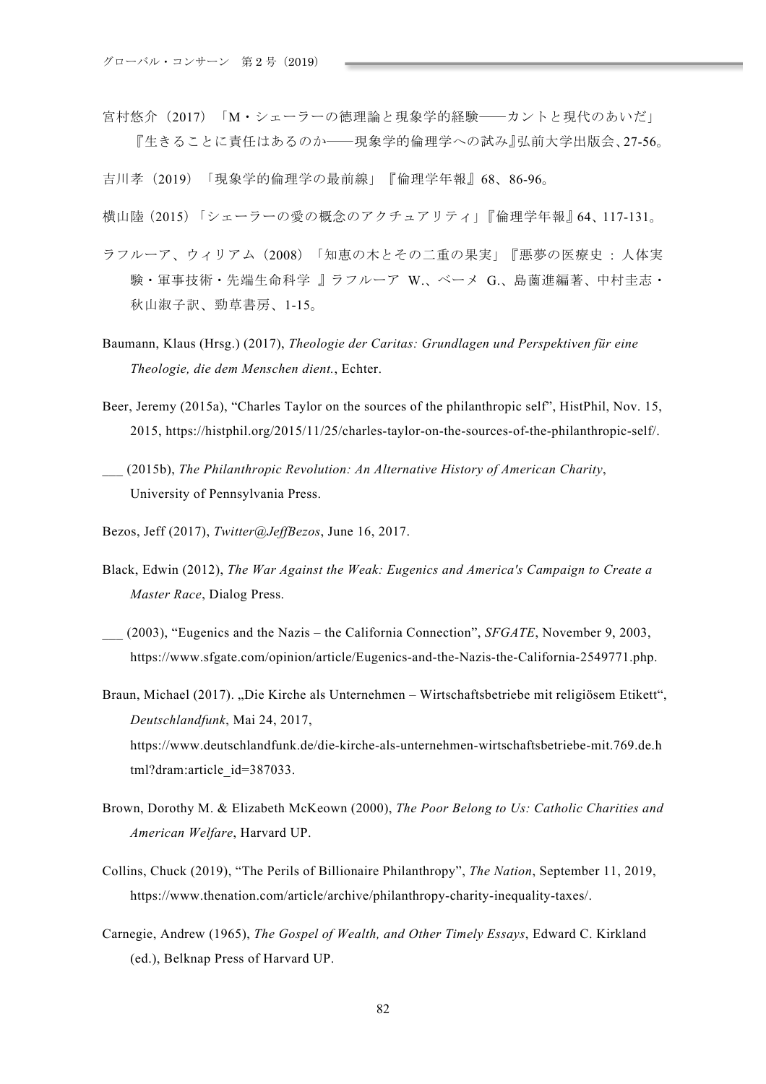宮村悠介 (2017) 「M·シェーラーの徳理論と現象学的経験――カントと現代のあいだ」 『生きることに責任はあるのか――現象学的倫理学への試み』弘前大学出版会、27-56。

吉川孝 (2019) 「現象学的倫理学の最前線」『倫理学年報』68、86-96。

- 横山陸 (2015)「シェーラーの愛の概念のアクチュアリティ」『倫理学年報』64、117-131。
- ラフルーア、ウィリアム (2008)「知恵の木とその二重の果実」『悪夢の医療史:人体実 験・軍事技術・先端生命科学 』ラフルーア W、ベーメ G、島薗進編著、中村圭志・ 秋山淑子訳、勁草書房、1-15。
- Baumann, Klaus (Hrsg.) (2017), Theologie der Caritas: Grundlagen und Perspektiven für eine Theologie, die dem Menschen dient., Echter.
- Beer, Jeremy (2015a), "Charles Taylor on the sources of the philanthropic self", HistPhil, Nov. 15, 2015. https://histphil.org/2015/11/25/charles-taylor-on-the-sources-of-the-philanthropic-self/.
- (2015b), The Philanthropic Revolution: An Alternative History of American Charity, University of Pennsylvania Press.
- Bezos, Jeff (2017), Twitter@JeffBezos, June 16, 2017.
- Black, Edwin (2012), The War Against the Weak: Eugenics and America's Campaign to Create a Master Race, Dialog Press.
- (2003), "Eugenics and the Nazis the California Connection", SFGATE, November 9, 2003, https://www.sfgate.com/opinion/article/Eugenics-and-the-Nazis-the-California-2549771.php.
- Braun, Michael (2017). "Die Kirche als Unternehmen Wirtschaftsbetriebe mit religiösem Etikett", Deutschlandfunk, Mai 24, 2017, https://www.deutschlandfunk.de/die-kirche-als-unternehmen-wirtschaftsbetriebe-mit.769.de.h tml?dram:article\_id=387033.
- Brown, Dorothy M. & Elizabeth McKeown (2000), The Poor Belong to Us: Catholic Charities and American Welfare, Harvard UP.
- Collins, Chuck (2019), "The Perils of Billionaire Philanthropy", *The Nation*, September 11, 2019, https://www.thenation.com/article/archive/philanthropy-charity-inequality-taxes/.
- Carnegie, Andrew (1965), The Gospel of Wealth, and Other Timely Essays, Edward C. Kirkland (ed.), Belknap Press of Harvard UP.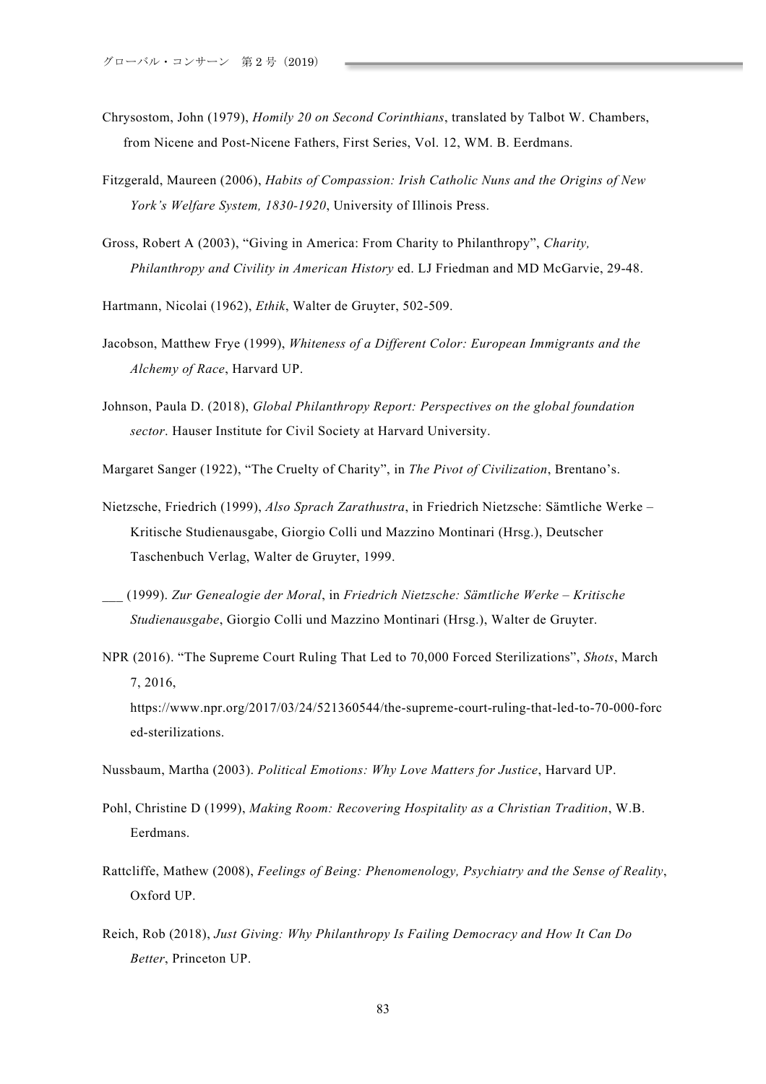- Chrysostom, John (1979), *Homily 20 on Second Corinthians*, translated by Talbot W. Chambers, from Nicene and Post-Nicene Fathers, First Series, Vol. 12, WM. B. Eerdmans.
- Fitzgerald, Maureen (2006), *Habits of Compassion: Irish Catholic Nuns and the Origins of New York's Welfare System, 1830-1920*, University of Illinois Press.
- Gross, Robert A (2003), "Giving in America: From Charity to Philanthropy", *Charity, Philanthropy and Civility in American History* ed. LJ Friedman and MD McGarvie, 29-48.

Hartmann, Nicolai (1962), *Ethik*, Walter de Gruyter, 502-509.

- Jacobson, Matthew Frye (1999), *Whiteness of a Different Color: European Immigrants and the Alchemy of Race*, Harvard UP.
- Johnson, Paula D. (2018), *Global Philanthropy Report: Perspectives on the global foundation sector*. Hauser Institute for Civil Society at Harvard University.
- Margaret Sanger (1922), "The Cruelty of Charity", in *The Pivot of Civilization*, Brentano's.
- Nietzsche, Friedrich (1999), *Also Sprach Zarathustra*, in Friedrich Nietzsche: Sämtliche Werke *–* Kritische Studienausgabe, Giorgio Colli und Mazzino Montinari (Hrsg.), Deutscher Taschenbuch Verlag, Walter de Gruyter, 1999.
- \_\_\_ (1999). *Zur Genealogie der Moral*, in *Friedrich Nietzsche: Sämtliche Werke – Kritische Studienausgabe*, Giorgio Colli und Mazzino Montinari (Hrsg.), Walter de Gruyter.
- NPR (2016). "The Supreme Court Ruling That Led to 70,000 Forced Sterilizations", *Shots*, March 7, 2016, https://www.npr.org/2017/03/24/521360544/the-supreme-court-ruling-that-led-to-70-000-forc ed-sterilizations.
- Nussbaum, Martha (2003). *Political Emotions: Why Love Matters for Justice*, Harvard UP.
- Pohl, Christine D (1999), *Making Room: Recovering Hospitality as a Christian Tradition*, W.B. Eerdmans.
- Rattcliffe, Mathew (2008), *Feelings of Being: Phenomenology, Psychiatry and the Sense of Reality*, Oxford UP.
- Reich, Rob (2018), *Just Giving: Why Philanthropy Is Failing Democracy and How It Can Do Better*, Princeton UP.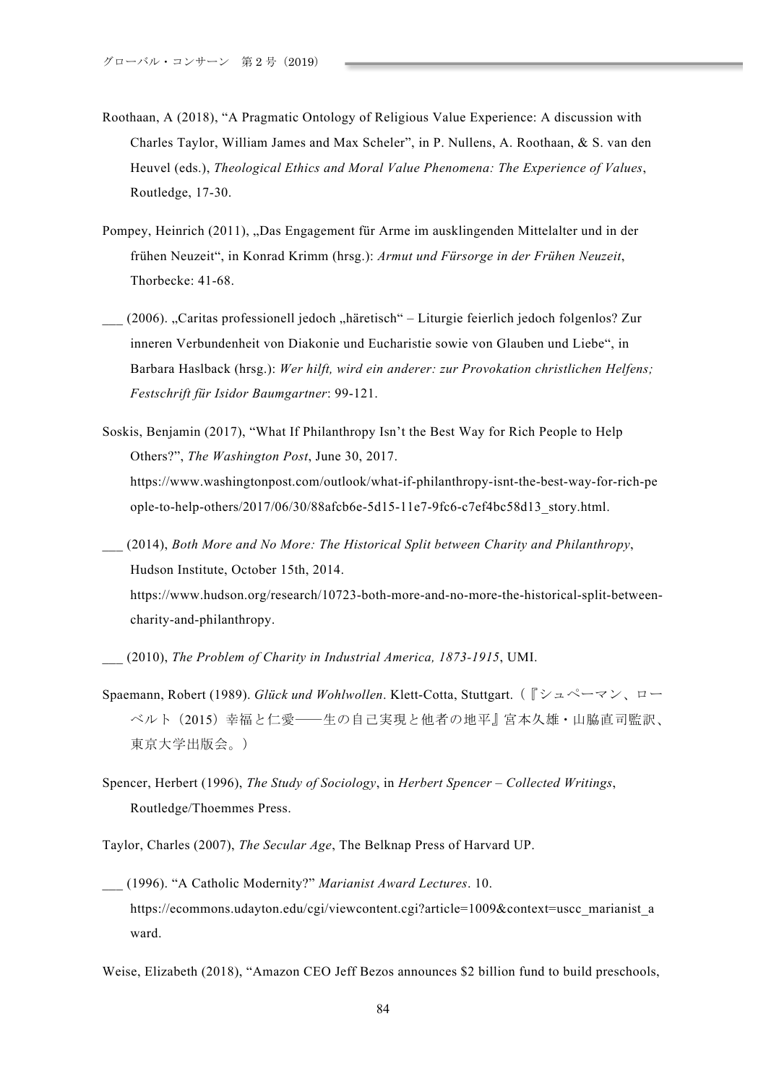- Roothaan, A (2018), "A Pragmatic Ontology of Religious Value Experience: A discussion with Charles Taylor, William James and Max Scheler", in P. Nullens, A. Roothaan, & S. van den Heuvel (eds.), *Theological Ethics and Moral Value Phenomena: The Experience of Values*, Routledge, 17-30.
- Pompey, Heinrich (2011), "Das Engagement für Arme im ausklingenden Mittelalter und in der frühen Neuzeit", in Konrad Krimm (hrsg.): *Armut und Fürsorge in der Frühen Neuzeit*, Thorbecke: 41-68.
- \_\_\_ (2006). "Caritas professionell jedoch "häretisch" Liturgie feierlich jedoch folgenlos? Zur inneren Verbundenheit von Diakonie und Eucharistie sowie von Glauben und Liebe", in Barbara Haslback (hrsg.): *Wer hilft, wird ein anderer: zur Provokation christlichen Helfens; Festschrift für Isidor Baumgartner*: 99-121.
- Soskis, Benjamin (2017), "What If Philanthropy Isn't the Best Way for Rich People to Help Others?", *The Washington Post*, June 30, 2017. https://www.washingtonpost.com/outlook/what-if-philanthropy-isnt-the-best-way-for-rich-pe ople-to-help-others/2017/06/30/88afcb6e-5d15-11e7-9fc6-c7ef4bc58d13\_story.html.
- \_\_\_ (2014), *Both More and No More: The Historical Split between Charity and Philanthropy*, Hudson Institute, October 15th, 2014. https://www.hudson.org/research/10723-both-more-and-no-more-the-historical-split-betweencharity-and-philanthropy.

\_\_\_ (2010), *The Problem of Charity in Industrial America, 1873-1915*, UMI.

- Spaemann, Robert (1989). *Glück und Wohlwollen*. Klett-Cotta, Stuttgart. ( $\lceil \frac{3}{2} \times \sqrt{2} \rceil$ ベルト (2015) 幸福と仁愛––生の自己実現と他者の地平』宮本久雄・山脇直司監訳、 東京大学出版会。)
- Spencer, Herbert (1996), *The Study of Sociology*, in *Herbert Spencer – Collected Writings*, Routledge/Thoemmes Press.

Taylor, Charles (2007), *The Secular Age*, The Belknap Press of Harvard UP.

\_\_\_ (1996). "A Catholic Modernity?" *Marianist Award Lectures*. 10. https://ecommons.udayton.edu/cgi/viewcontent.cgi?article=1009&context=uscc\_marianist\_a ward.

Weise, Elizabeth (2018), "Amazon CEO Jeff Bezos announces \$2 billion fund to build preschools,